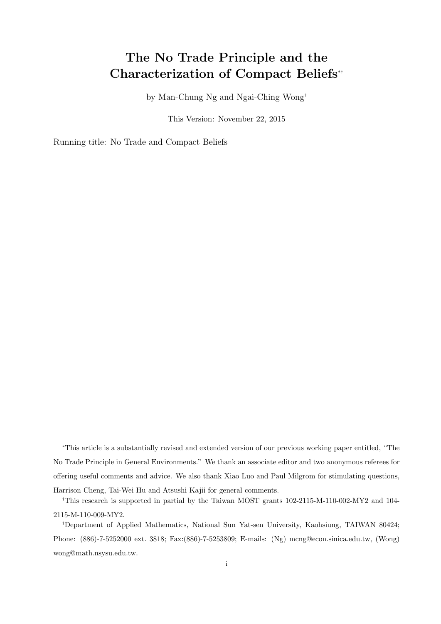# The No Trade Principle and the Characterization of Compact Beliefs<sup>∗</sup>†

by Man-Chung Ng and Ngai-Ching Wong‡

This Version: November 22, 2015

Running title: No Trade and Compact Beliefs

<sup>∗</sup>This article is a substantially revised and extended version of our previous working paper entitled, "The No Trade Principle in General Environments." We thank an associate editor and two anonymous referees for offering useful comments and advice. We also thank Xiao Luo and Paul Milgrom for stimulating questions, Harrison Cheng, Tai-Wei Hu and Atsushi Kajii for general comments.

<sup>†</sup>This research is supported in partial by the Taiwan MOST grants 102-2115-M-110-002-MY2 and 104- 2115-M-110-009-MY2.

<sup>‡</sup>Department of Applied Mathematics, National Sun Yat-sen University, Kaohsiung, TAIWAN 80424; Phone: (886)-7-5252000 ext. 3818; Fax:(886)-7-5253809; E-mails: (Ng) mcng@econ.sinica.edu.tw, (Wong) wong@math.nsysu.edu.tw.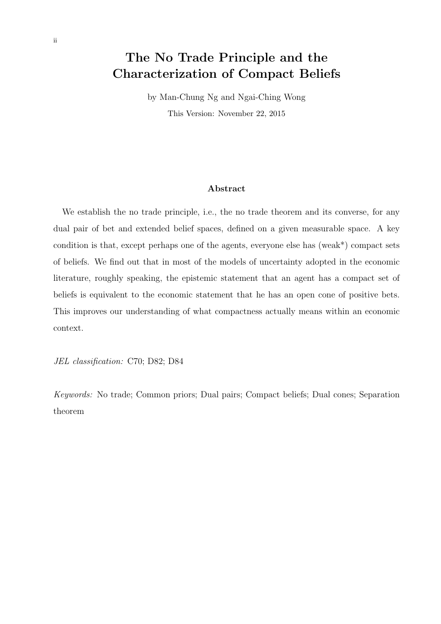# The No Trade Principle and the Characterization of Compact Beliefs

by Man-Chung Ng and Ngai-Ching Wong This Version: November 22, 2015

### Abstract

We establish the no trade principle, i.e., the no trade theorem and its converse, for any dual pair of bet and extended belief spaces, defined on a given measurable space. A key condition is that, except perhaps one of the agents, everyone else has (weak\*) compact sets of beliefs. We find out that in most of the models of uncertainty adopted in the economic literature, roughly speaking, the epistemic statement that an agent has a compact set of beliefs is equivalent to the economic statement that he has an open cone of positive bets. This improves our understanding of what compactness actually means within an economic context.

JEL classification: C70; D82; D84

Keywords: No trade; Common priors; Dual pairs; Compact beliefs; Dual cones; Separation theorem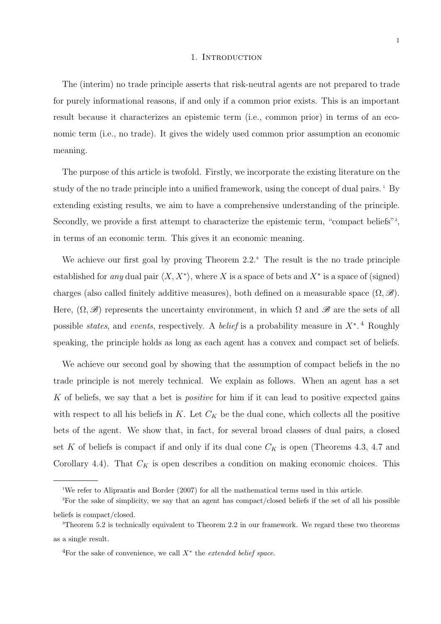#### 1. INTRODUCTION

The (interim) no trade principle asserts that risk-neutral agents are not prepared to trade for purely informational reasons, if and only if a common prior exists. This is an important result because it characterizes an epistemic term (i.e., common prior) in terms of an economic term (i.e., no trade). It gives the widely used common prior assumption an economic meaning.

The purpose of this article is twofold. Firstly, we incorporate the existing literature on the study of the no trade principle into a unified framework, using the concept of dual pairs. <sup>1</sup> By extending existing results, we aim to have a comprehensive understanding of the principle. Secondly, we provide a first attempt to characterize the epistemic term, "compact beliefs"? in terms of an economic term. This gives it an economic meaning.

We achieve our first goal by proving Theorem 2.2.<sup>3</sup> The result is the no trade principle established for any dual pair  $\langle X, X^* \rangle$ , where X is a space of bets and  $X^*$  is a space of (signed) charges (also called finitely additive measures), both defined on a measurable space  $(\Omega, \mathscr{B})$ . Here,  $(\Omega, \mathscr{B})$  represents the uncertainty environment, in which  $\Omega$  and  $\mathscr{B}$  are the sets of all possible *states*, and *events*, respectively. A *belief* is a probability measure in  $X^*$ .<sup>4</sup> Roughly speaking, the principle holds as long as each agent has a convex and compact set of beliefs.

We achieve our second goal by showing that the assumption of compact beliefs in the no trade principle is not merely technical. We explain as follows. When an agent has a set K of beliefs, we say that a bet is *positive* for him if it can lead to positive expected gains with respect to all his beliefs in K. Let  $C_K$  be the dual cone, which collects all the positive bets of the agent. We show that, in fact, for several broad classes of dual pairs, a closed set K of beliefs is compact if and only if its dual cone  $C_K$  is open (Theorems 4.3, 4.7 and Corollary 4.4). That  $C_K$  is open describes a condition on making economic choices. This

<sup>1</sup>We refer to Aliprantis and Border (2007) for all the mathematical terms used in this article.

<sup>2</sup>For the sake of simplicity, we say that an agent has compact/closed beliefs if the set of all his possible beliefs is compact/closed.

<sup>&</sup>lt;sup>3</sup>Theorem 5.2 is technically equivalent to Theorem 2.2 in our framework. We regard these two theorems as a single result.

<sup>&</sup>lt;sup>4</sup>For the sake of convenience, we call  $X^*$  the *extended belief space*.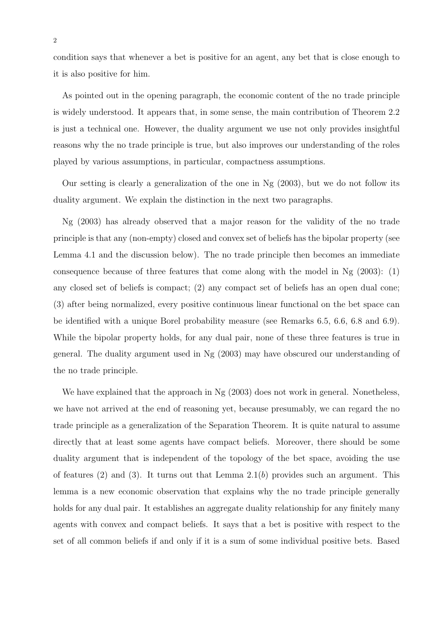condition says that whenever a bet is positive for an agent, any bet that is close enough to it is also positive for him.

As pointed out in the opening paragraph, the economic content of the no trade principle is widely understood. It appears that, in some sense, the main contribution of Theorem 2.2 is just a technical one. However, the duality argument we use not only provides insightful reasons why the no trade principle is true, but also improves our understanding of the roles played by various assumptions, in particular, compactness assumptions.

Our setting is clearly a generalization of the one in Ng (2003), but we do not follow its duality argument. We explain the distinction in the next two paragraphs.

Ng (2003) has already observed that a major reason for the validity of the no trade principle is that any (non-empty) closed and convex set of beliefs has the bipolar property (see Lemma 4.1 and the discussion below). The no trade principle then becomes an immediate consequence because of three features that come along with the model in Ng  $(2003)$ : (1) any closed set of beliefs is compact; (2) any compact set of beliefs has an open dual cone; (3) after being normalized, every positive continuous linear functional on the bet space can be identified with a unique Borel probability measure (see Remarks 6.5, 6.6, 6.8 and 6.9). While the bipolar property holds, for any dual pair, none of these three features is true in general. The duality argument used in Ng (2003) may have obscured our understanding of the no trade principle.

We have explained that the approach in Ng  $(2003)$  does not work in general. Nonetheless, we have not arrived at the end of reasoning yet, because presumably, we can regard the no trade principle as a generalization of the Separation Theorem. It is quite natural to assume directly that at least some agents have compact beliefs. Moreover, there should be some duality argument that is independent of the topology of the bet space, avoiding the use of features (2) and (3). It turns out that Lemma  $2.1(b)$  provides such an argument. This lemma is a new economic observation that explains why the no trade principle generally holds for any dual pair. It establishes an aggregate duality relationship for any finitely many agents with convex and compact beliefs. It says that a bet is positive with respect to the set of all common beliefs if and only if it is a sum of some individual positive bets. Based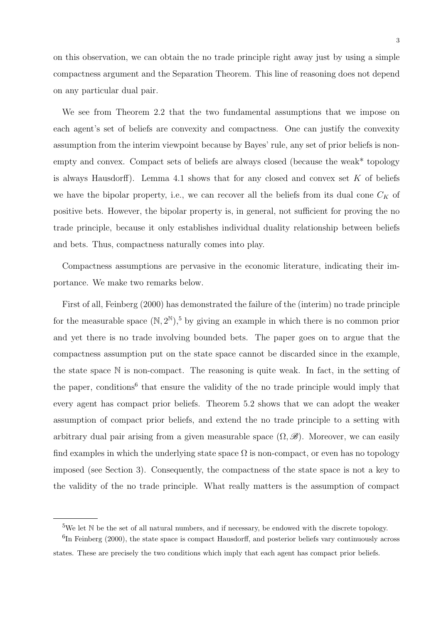on this observation, we can obtain the no trade principle right away just by using a simple compactness argument and the Separation Theorem. This line of reasoning does not depend on any particular dual pair.

We see from Theorem 2.2 that the two fundamental assumptions that we impose on each agent's set of beliefs are convexity and compactness. One can justify the convexity assumption from the interim viewpoint because by Bayes' rule, any set of prior beliefs is nonempty and convex. Compact sets of beliefs are always closed (because the weak\* topology is always Hausdorff). Lemma 4.1 shows that for any closed and convex set  $K$  of beliefs we have the bipolar property, i.e., we can recover all the beliefs from its dual cone  $C_K$  of positive bets. However, the bipolar property is, in general, not sufficient for proving the no trade principle, because it only establishes individual duality relationship between beliefs and bets. Thus, compactness naturally comes into play.

Compactness assumptions are pervasive in the economic literature, indicating their importance. We make two remarks below.

First of all, Feinberg (2000) has demonstrated the failure of the (interim) no trade principle for the measurable space  $(N, 2^N)^5$ , by giving an example in which there is no common prior and yet there is no trade involving bounded bets. The paper goes on to argue that the compactness assumption put on the state space cannot be discarded since in the example, the state space N is non-compact. The reasoning is quite weak. In fact, in the setting of the paper, conditions<sup>6</sup> that ensure the validity of the no trade principle would imply that every agent has compact prior beliefs. Theorem 5.2 shows that we can adopt the weaker assumption of compact prior beliefs, and extend the no trade principle to a setting with arbitrary dual pair arising from a given measurable space  $(\Omega, \mathscr{B})$ . Moreover, we can easily find examples in which the underlying state space  $\Omega$  is non-compact, or even has no topology imposed (see Section 3). Consequently, the compactness of the state space is not a key to the validity of the no trade principle. What really matters is the assumption of compact

 $5W$ e let N be the set of all natural numbers, and if necessary, be endowed with the discrete topology.

<sup>&</sup>lt;sup>6</sup>In Feinberg (2000), the state space is compact Hausdorff, and posterior beliefs vary continuously across states. These are precisely the two conditions which imply that each agent has compact prior beliefs.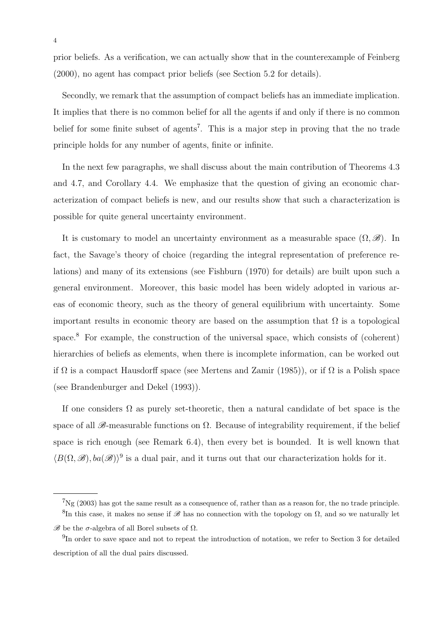prior beliefs. As a verification, we can actually show that in the counterexample of Feinberg (2000), no agent has compact prior beliefs (see Section 5.2 for details).

Secondly, we remark that the assumption of compact beliefs has an immediate implication. It implies that there is no common belief for all the agents if and only if there is no common belief for some finite subset of agents<sup>7</sup>. This is a major step in proving that the no trade principle holds for any number of agents, finite or infinite.

In the next few paragraphs, we shall discuss about the main contribution of Theorems 4.3 and 4.7, and Corollary 4.4. We emphasize that the question of giving an economic characterization of compact beliefs is new, and our results show that such a characterization is possible for quite general uncertainty environment.

It is customary to model an uncertainty environment as a measurable space  $(\Omega, \mathscr{B})$ . In fact, the Savage's theory of choice (regarding the integral representation of preference relations) and many of its extensions (see Fishburn (1970) for details) are built upon such a general environment. Moreover, this basic model has been widely adopted in various areas of economic theory, such as the theory of general equilibrium with uncertainty. Some important results in economic theory are based on the assumption that  $\Omega$  is a topological space.<sup>8</sup> For example, the construction of the universal space, which consists of (coherent) hierarchies of beliefs as elements, when there is incomplete information, can be worked out if  $\Omega$  is a compact Hausdorff space (see Mertens and Zamir (1985)), or if  $\Omega$  is a Polish space (see Brandenburger and Dekel (1993)).

If one considers  $\Omega$  as purely set-theoretic, then a natural candidate of bet space is the space of all  $\mathscr{B}$ -measurable functions on  $\Omega$ . Because of integrability requirement, if the belief space is rich enough (see Remark 6.4), then every bet is bounded. It is well known that  $\langle B(\Omega, \mathscr{B}), ba(\mathscr{B})\rangle^9$  is a dual pair, and it turns out that our characterization holds for it.

 ${}^{7}$ Ng (2003) has got the same result as a consequence of, rather than as a reason for, the no trade principle. <sup>8</sup>In this case, it makes no sense if  $\mathscr{B}$  has no connection with the topology on  $\Omega$ , and so we naturally let

 $\mathscr{B}$  be the σ-algebra of all Borel subsets of  $Ω$ .

<sup>&</sup>lt;sup>9</sup>In order to save space and not to repeat the introduction of notation, we refer to Section 3 for detailed description of all the dual pairs discussed.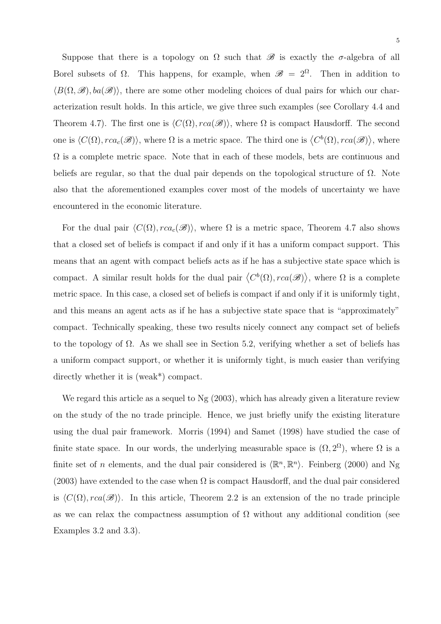Suppose that there is a topology on  $\Omega$  such that  $\mathscr B$  is exactly the  $\sigma$ -algebra of all Borel subsets of  $\Omega$ . This happens, for example, when  $\mathscr{B} = 2^{\Omega}$ . Then in addition to  $\langle B(\Omega, \mathscr{B}), ba(\mathscr{B})\rangle$ , there are some other modeling choices of dual pairs for which our characterization result holds. In this article, we give three such examples (see Corollary 4.4 and Theorem 4.7). The first one is  $\langle C(\Omega), rca(\mathscr{B})\rangle$ , where  $\Omega$  is compact Hausdorff. The second one is  $\langle C(\Omega), rca_c(\mathscr{B})\rangle$ , where  $\Omega$  is a metric space. The third one is  $\langle C^b(\Omega), rca(\mathscr{B})\rangle$ , where  $\Omega$  is a complete metric space. Note that in each of these models, bets are continuous and beliefs are regular, so that the dual pair depends on the topological structure of  $\Omega$ . Note also that the aforementioned examples cover most of the models of uncertainty we have encountered in the economic literature.

For the dual pair  $\langle C(\Omega), rca_c(\mathscr{B})\rangle$ , where  $\Omega$  is a metric space, Theorem 4.7 also shows that a closed set of beliefs is compact if and only if it has a uniform compact support. This means that an agent with compact beliefs acts as if he has a subjective state space which is compact. A similar result holds for the dual pair  $\langle C^b(\Omega), rca(\mathscr{B}) \rangle$ , where  $\Omega$  is a complete metric space. In this case, a closed set of beliefs is compact if and only if it is uniformly tight, and this means an agent acts as if he has a subjective state space that is "approximately" compact. Technically speaking, these two results nicely connect any compact set of beliefs to the topology of  $\Omega$ . As we shall see in Section 5.2, verifying whether a set of beliefs has a uniform compact support, or whether it is uniformly tight, is much easier than verifying directly whether it is (weak\*) compact.

We regard this article as a sequel to Ng (2003), which has already given a literature review on the study of the no trade principle. Hence, we just briefly unify the existing literature using the dual pair framework. Morris (1994) and Samet (1998) have studied the case of finite state space. In our words, the underlying measurable space is  $(\Omega, 2^{\Omega})$ , where  $\Omega$  is a finite set of *n* elements, and the dual pair considered is  $\langle \mathbb{R}^n, \mathbb{R}^n \rangle$ . Feinberg (2000) and Ng (2003) have extended to the case when  $\Omega$  is compact Hausdorff, and the dual pair considered is  $\langle C(\Omega), rca(\mathscr{B})\rangle$ . In this article, Theorem 2.2 is an extension of the no trade principle as we can relax the compactness assumption of  $\Omega$  without any additional condition (see Examples 3.2 and 3.3).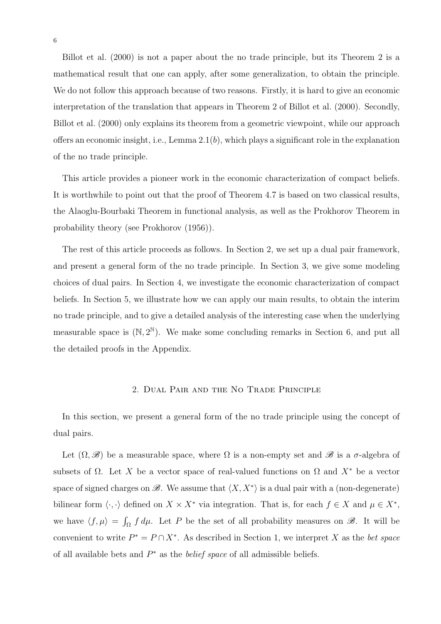Billot et al. (2000) is not a paper about the no trade principle, but its Theorem 2 is a mathematical result that one can apply, after some generalization, to obtain the principle. We do not follow this approach because of two reasons. Firstly, it is hard to give an economic interpretation of the translation that appears in Theorem 2 of Billot et al. (2000). Secondly, Billot et al. (2000) only explains its theorem from a geometric viewpoint, while our approach offers an economic insight, i.e., Lemma  $2.1(b)$ , which plays a significant role in the explanation of the no trade principle.

This article provides a pioneer work in the economic characterization of compact beliefs. It is worthwhile to point out that the proof of Theorem 4.7 is based on two classical results, the Alaoglu-Bourbaki Theorem in functional analysis, as well as the Prokhorov Theorem in probability theory (see Prokhorov (1956)).

The rest of this article proceeds as follows. In Section 2, we set up a dual pair framework, and present a general form of the no trade principle. In Section 3, we give some modeling choices of dual pairs. In Section 4, we investigate the economic characterization of compact beliefs. In Section 5, we illustrate how we can apply our main results, to obtain the interim no trade principle, and to give a detailed analysis of the interesting case when the underlying measurable space is  $(N, 2^N)$ . We make some concluding remarks in Section 6, and put all the detailed proofs in the Appendix.

# 2. Dual Pair and the No Trade Principle

In this section, we present a general form of the no trade principle using the concept of dual pairs.

Let  $(\Omega, \mathscr{B})$  be a measurable space, where  $\Omega$  is a non-empty set and  $\mathscr{B}$  is a  $\sigma$ -algebra of subsets of  $\Omega$ . Let X be a vector space of real-valued functions on  $\Omega$  and  $X^*$  be a vector space of signed charges on  $\mathscr{B}$ . We assume that  $\langle X, X^* \rangle$  is a dual pair with a (non-degenerate) bilinear form  $\langle \cdot, \cdot \rangle$  defined on  $X \times X^*$  via integration. That is, for each  $f \in X$  and  $\mu \in X^*$ , we have  $\langle f, \mu \rangle = \int_{\Omega} f d\mu$ . Let P be the set of all probability measures on  $\mathscr{B}$ . It will be convenient to write  $P^* = P \cap X^*$ . As described in Section 1, we interpret X as the bet space of all available bets and  $P^*$  as the *belief space* of all admissible beliefs.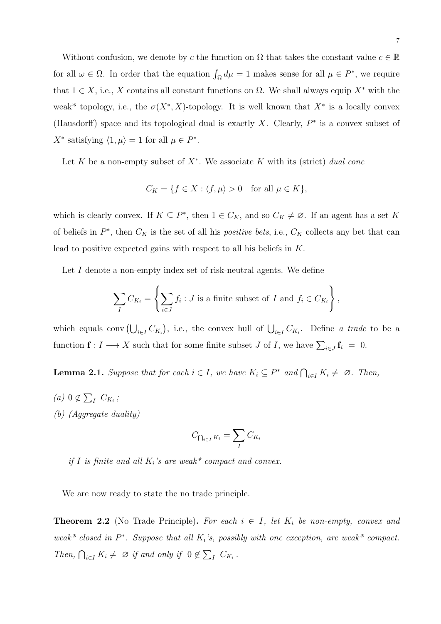Without confusion, we denote by c the function on  $\Omega$  that takes the constant value  $c \in \mathbb{R}$ for all  $\omega \in \Omega$ . In order that the equation  $\int_{\Omega} d\mu = 1$  makes sense for all  $\mu \in P^*$ , we require that  $1 \in X$ , i.e., X contains all constant functions on  $\Omega$ . We shall always equip  $X^*$  with the weak<sup>\*</sup> topology, i.e., the  $\sigma(X^*, X)$ -topology. It is well known that  $X^*$  is a locally convex (Hausdorff) space and its topological dual is exactly X. Clearly,  $P^*$  is a convex subset of  $X^*$  satisfying  $\langle 1, \mu \rangle = 1$  for all  $\mu \in P^*$ .

Let K be a non-empty subset of  $X^*$ . We associate K with its (strict) dual cone

$$
C_K = \{ f \in X : \langle f, \mu \rangle > 0 \quad \text{for all } \mu \in K \},
$$

which is clearly convex. If  $K \subseteq P^*$ , then  $1 \in C_K$ , and so  $C_K \neq \emptyset$ . If an agent has a set K of beliefs in  $P^*$ , then  $C_K$  is the set of all his *positive bets*, i.e.,  $C_K$  collects any bet that can lead to positive expected gains with respect to all his beliefs in K.

Let I denote a non-empty index set of risk-neutral agents. We define

$$
\sum_{I} C_{K_i} = \left\{ \sum_{i \in J} f_i : J \text{ is a finite subset of } I \text{ and } f_i \in C_{K_i} \right\},\
$$

which equals conv $(\bigcup_{i\in I} C_{K_i})$ , i.e., the convex hull of  $\bigcup_{i\in I} C_{K_i}$ . Define a trade to be a function  $\mathbf{f}: I \longrightarrow X$  such that for some finite subset J of I, we have  $\sum_{i \in J} \mathbf{f}_i = 0$ .

**Lemma 2.1.** Suppose that for each  $i \in I$ , we have  $K_i \subseteq P^*$  and  $\bigcap_{i \in I} K_i \neq \emptyset$ . Then,

(a)  $0 \notin \sum_{I} C_{K_i}$ ; (b) (Aggregate duality)

$$
C_{\bigcap_{i\in I}K_i} = \sum_{I} C_{K_i}
$$

if I is finite and all  $K_i$ 's are weak\* compact and convex.

We are now ready to state the no trade principle.

**Theorem 2.2** (No Trade Principle). For each  $i \in I$ , let  $K_i$  be non-empty, convex and weak\* closed in  $P^*$ . Suppose that all  $K_i$ 's, possibly with one exception, are weak\* compact. Then,  $\bigcap_{i\in I} K_i \neq \emptyset$  if and only if  $0 \notin \sum_I C_{K_i}$ .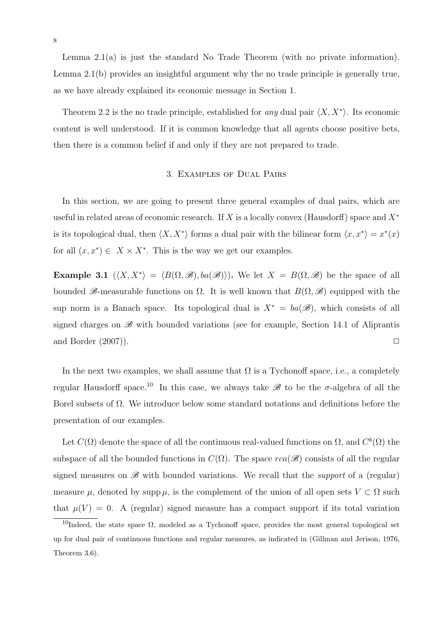Lemma 2.1(a) is just the standard No Trade Theorem (with no private information). Lemma 2.1(b) provides an insightful argument why the no trade principle is generally true, as we have already explained its economic message in Section 1.

Theorem 2.2 is the no trade principle, established for any dual pair  $\langle X, X^* \rangle$ . Its economic content is well understood. If it is common knowledge that all agents choose positive bets, then there is a common belief if and only if they are not prepared to trade.

# 3. Examples of Dual Pairs

In this section, we are going to present three general examples of dual pairs, which are useful in related areas of economic research. If X is a locally convex (Hausdorff) space and  $X^*$ is its topological dual, then  $\langle X, X^* \rangle$  forms a dual pair with the bilinear form  $\langle x, x^* \rangle = x^*(x)$ for all  $(x, x^*) \in X \times X^*$ . This is the way we get our examples.

**Example 3.1**  $\langle X, X^* \rangle = \langle B(\Omega, \mathcal{B}), ba(\mathcal{B}) \rangle$ . We let  $X = B(\Omega, \mathcal{B})$  be the space of all bounded  $\mathscr{B}$ -measurable functions on  $\Omega$ . It is well known that  $B(\Omega, \mathscr{B})$  equipped with the sup norm is a Banach space. Its topological dual is  $X^* = ba(\mathscr{B})$ , which consists of all signed charges on  $\mathscr{B}$  with bounded variations (see for example, Section 14.1 of Aliprantis and Border  $(2007)$ .

In the next two examples, we shall assume that  $\Omega$  is a Tychonoff space, i.e., a completely regular Hausdorff space.<sup>10</sup> In this case, we always take  $\mathscr{B}$  to be the  $\sigma$ -algebra of all the Borel subsets of  $\Omega$ . We introduce below some standard notations and definitions before the presentation of our examples.

Let  $C(\Omega)$  denote the space of all the continuous real-valued functions on  $\Omega$ , and  $C^b(\Omega)$  the subspace of all the bounded functions in  $C(\Omega)$ . The space  $rca(\mathscr{B})$  consists of all the regular signed measures on  $\mathscr{B}$  with bounded variations. We recall that the *support* of a (regular) measure  $\mu$ , denoted by supp  $\mu$ , is the complement of the union of all open sets  $V \subset \Omega$  such that  $\mu(V) = 0$ . A (regular) signed measure has a compact support if its total variation

<sup>&</sup>lt;sup>10</sup>Indeed, the state space  $\Omega$ , modeled as a Tychonoff space, provides the most general topological set up for dual pair of continuous functions and regular measures, as indicated in (Gillman and Jerison, 1976, Theorem 3.6).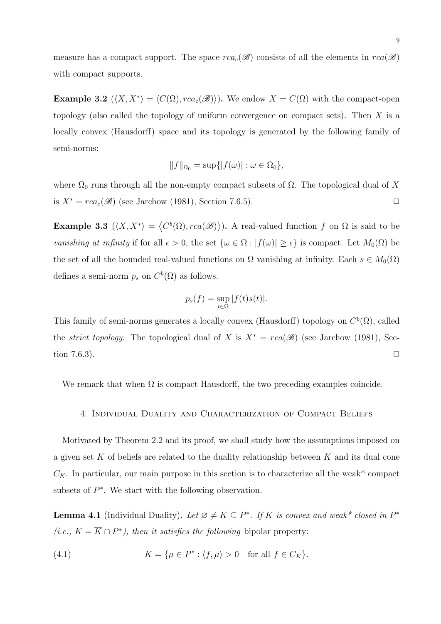measure has a compact support. The space  $rca_c(\mathscr{B})$  consists of all the elements in  $rca(\mathscr{B})$ with compact supports.

**Example 3.2**  $(\langle X, X^* \rangle = \langle C(\Omega), rca_c(\mathscr{B}) \rangle)$ . We endow  $X = C(\Omega)$  with the compact-open topology (also called the topology of uniform convergence on compact sets). Then  $X$  is a locally convex (Hausdorff) space and its topology is generated by the following family of semi-norms:

$$
||f||_{\Omega_0} = \sup\{|f(\omega)| : \omega \in \Omega_0\},\
$$

where  $\Omega_0$  runs through all the non-empty compact subsets of  $\Omega$ . The topological dual of X is  $X^* = rca_c(\mathscr{B})$  (see Jarchow (1981), Section 7.6.5).

Example 3.3  $(\langle X, X^* \rangle = \langle C^b(\Omega), rca(\mathscr{B}) \rangle)$ . A real-valued function f on  $\Omega$  is said to be vanishing at infinity if for all  $\epsilon > 0$ , the set  $\{\omega \in \Omega : |f(\omega)| \geq \epsilon\}$  is compact. Let  $M_0(\Omega)$  be the set of all the bounded real-valued functions on  $\Omega$  vanishing at infinity. Each  $s \in M_0(\Omega)$ defines a semi-norm  $p_s$  on  $C^b(\Omega)$  as follows.

$$
p_s(f) = \sup_{t \in \Omega} |f(t)s(t)|.
$$

This family of semi-norms generates a locally convex (Hausdorff) topology on  $C^b(\Omega)$ , called the *strict topology*. The topological dual of X is  $X^* = rca(\mathscr{B})$  (see Jarchow (1981), Section 7.6.3).  $\Box$ 

We remark that when  $\Omega$  is compact Hausdorff, the two preceding examples coincide.

## 4. Individual Duality and Characterization of Compact Beliefs

Motivated by Theorem 2.2 and its proof, we shall study how the assumptions imposed on a given set K of beliefs are related to the duality relationship between K and its dual cone  $C_K$ . In particular, our main purpose in this section is to characterize all the weak\* compact subsets of  $P^*$ . We start with the following observation.

**Lemma 4.1** (Individual Duality). Let  $\emptyset \neq K \subseteq P^*$ . If K is convex and weak\* closed in  $P^*$ (*i.e.*,  $K = \overline{K} \cap P^*$ ), then it satisfies the following bipolar property:

(4.1) 
$$
K = \{ \mu \in P^* : \langle f, \mu \rangle > 0 \text{ for all } f \in C_K \}.
$$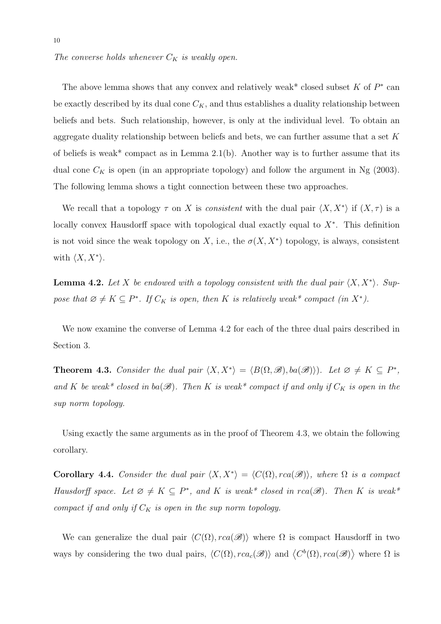The converse holds whenever  $C_K$  is weakly open.

The above lemma shows that any convex and relatively weak<sup>\*</sup> closed subset  $K$  of  $P^*$  can be exactly described by its dual cone  $C_K$ , and thus establishes a duality relationship between beliefs and bets. Such relationship, however, is only at the individual level. To obtain an aggregate duality relationship between beliefs and bets, we can further assume that a set K of beliefs is weak\* compact as in Lemma  $2.1(b)$ . Another way is to further assume that its dual cone  $C_K$  is open (in an appropriate topology) and follow the argument in Ng (2003). The following lemma shows a tight connection between these two approaches.

We recall that a topology  $\tau$  on X is consistent with the dual pair  $\langle X, X^* \rangle$  if  $(X, \tau)$  is a locally convex Hausdorff space with topological dual exactly equal to  $X^*$ . This definition is not void since the weak topology on X, i.e., the  $\sigma(X, X^*)$  topology, is always, consistent with  $\langle X, X^* \rangle$ .

**Lemma 4.2.** Let X be endowed with a topology consistent with the dual pair  $\langle X, X^* \rangle$ . Suppose that  $\emptyset \neq K \subseteq P^*$ . If  $C_K$  is open, then K is relatively weak\* compact (in X<sup>\*</sup>).

We now examine the converse of Lemma 4.2 for each of the three dual pairs described in Section 3.

**Theorem 4.3.** Consider the dual pair  $\langle X, X^* \rangle = \langle B(\Omega, \mathcal{B}), ba(\mathcal{B}) \rangle$ . Let  $\emptyset \neq K \subseteq P^*$ , and K be weak\* closed in ba( $\mathscr{B}$ ). Then K is weak\* compact if and only if  $C_K$  is open in the sup norm topology.

Using exactly the same arguments as in the proof of Theorem 4.3, we obtain the following corollary.

Corollary 4.4. Consider the dual pair  $\langle X, X^* \rangle = \langle C(\Omega), rca(\mathscr{B}) \rangle$ , where  $\Omega$  is a compact Hausdorff space. Let  $\emptyset \neq K \subseteq P^*$ , and K is weak\* closed in  $rca(\mathscr{B})$ . Then K is weak\* compact if and only if  $C_K$  is open in the sup norm topology.

We can generalize the dual pair  $\langle C(\Omega), rca(\mathscr{B})\rangle$  where  $\Omega$  is compact Hausdorff in two ways by considering the two dual pairs,  $\langle C(\Omega), rca_c(\mathscr{B})\rangle$  and  $\langle C^b(\Omega), rca(\mathscr{B})\rangle$  where  $\Omega$  is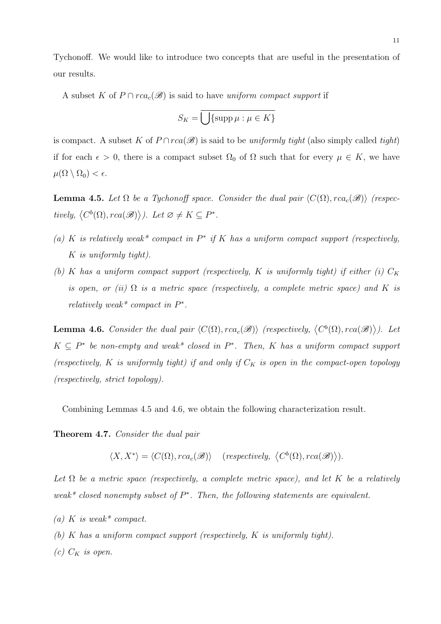Tychonoff. We would like to introduce two concepts that are useful in the presentation of our results.

A subset K of  $P \cap rca_c(\mathscr{B})$  is said to have uniform compact support if

$$
S_K = \overline{\bigcup\{\operatorname{supp}\mu : \mu \in K\}}
$$

is compact. A subset K of  $P \cap rca(\mathscr{B})$  is said to be uniformly tight (also simply called tight) if for each  $\epsilon > 0$ , there is a compact subset  $\Omega_0$  of  $\Omega$  such that for every  $\mu \in K$ , we have  $\mu(\Omega \setminus \Omega_0) < \epsilon.$ 

**Lemma 4.5.** Let  $\Omega$  be a Tychonoff space. Consider the dual pair  $\langle C(\Omega), rca_c(\mathscr{B})\rangle$  (respectively,  $\langle C^b(\Omega), rca(\mathscr{B}) \rangle$ . Let  $\varnothing \neq K \subseteq P^*$ .

- (a) K is relatively weak\* compact in  $P^*$  if K has a uniform compact support (respectively, K is uniformly tight).
- (b) K has a uniform compact support (respectively, K is uniformly tight) if either (i)  $C_K$ is open, or (ii)  $\Omega$  is a metric space (respectively, a complete metric space) and K is relatively weak<sup>\*</sup> compact in  $P^*$ .

**Lemma 4.6.** Consider the dual pair  $\langle C(\Omega), rca_c(\mathscr{B})\rangle$  (respectively,  $\langle C^b(\Omega), rca(\mathscr{B})\rangle$ ). Let  $K \subseteq P^*$  be non-empty and weak\* closed in  $P^*$ . Then, K has a uniform compact support (respectively, K is uniformly tight) if and only if  $C_K$  is open in the compact-open topology (respectively, strict topology).

Combining Lemmas 4.5 and 4.6, we obtain the following characterization result.

Theorem 4.7. Consider the dual pair

 $\langle X, X^* \rangle = \langle C(\Omega), rca_c(\mathscr{B}) \rangle$  (respectively,  $\langle C^b(\Omega), rca(\mathscr{B}) \rangle$ ).

Let  $\Omega$  be a metric space (respectively, a complete metric space), and let K be a relatively weak\* closed nonempty subset of  $P^*$ . Then, the following statements are equivalent.

(a) K is weak\* compact.

(b) K has a uniform compact support (respectively, K is uniformly tight).

(c)  $C_K$  is open.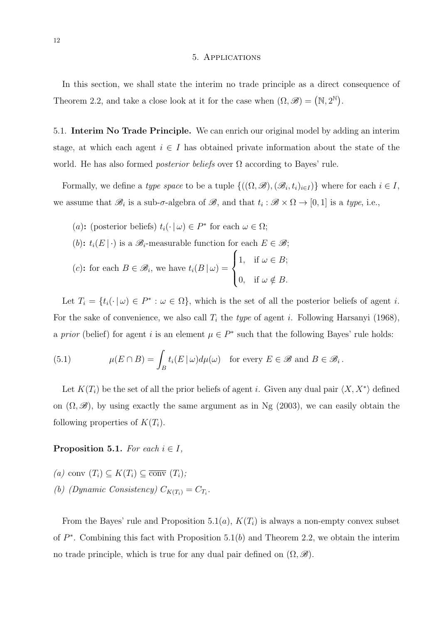#### 5. Applications

In this section, we shall state the interim no trade principle as a direct consequence of Theorem 2.2, and take a close look at it for the case when  $(\Omega, \mathscr{B}) = (N, 2^N)$ .

5.1. Interim No Trade Principle. We can enrich our original model by adding an interim stage, at which each agent  $i \in I$  has obtained private information about the state of the world. He has also formed *posterior beliefs* over  $\Omega$  according to Bayes' rule.

Formally, we define a *type space* to be a tuple  $\{((\Omega, \mathscr{B}),(\mathscr{B}_i,t_i)_{i\in I})\}$  where for each  $i\in I$ , we assume that  $\mathscr{B}_i$  is a sub- $\sigma$ -algebra of  $\mathscr{B}$ , and that  $t_i : \mathscr{B} \times \Omega \to [0,1]$  is a type, i.e.,

(a): (posterior beliefs)  $t_i(\cdot | \omega) \in P^*$  for each  $\omega \in \Omega$ ; (b):  $t_i(E | \cdot)$  is a  $\mathscr{B}_i$ -measurable function for each  $E \in \mathscr{B}$ ; (c): for each  $B \in \mathscr{B}_i$ , we have  $t_i(B \mid \omega) =$  $\sqrt{ }$  $\int$  $\overline{\mathcal{L}}$ 1, if  $\omega \in B$ ; 0, if  $\omega \notin B$ .

Let  $T_i = \{t_i(\cdot | \omega) \in P^* : \omega \in \Omega\}$ , which is the set of all the posterior beliefs of agent i. For the sake of convenience, we also call  $T_i$  the type of agent i. Following Harsanyi (1968), a prior (belief) for agent i is an element  $\mu \in P^*$  such that the following Bayes' rule holds:

(5.1) 
$$
\mu(E \cap B) = \int_B t_i(E \mid \omega) d\mu(\omega) \text{ for every } E \in \mathscr{B} \text{ and } B \in \mathscr{B}_i.
$$

Let  $K(T_i)$  be the set of all the prior beliefs of agent *i*. Given any dual pair  $\langle X, X^* \rangle$  defined on  $(\Omega, \mathscr{B})$ , by using exactly the same argument as in Ng (2003), we can easily obtain the following properties of  $K(T_i)$ .

## **Proposition 5.1.** For each  $i \in I$ ,

(a) conv  $(T_i) \subseteq K(T_i) \subseteq \overline{\text{conv}}(T_i)$ ; (b) (Dynamic Consistency)  $C_{K(T_i)} = C_{T_i}$ .

From the Bayes' rule and Proposition 5.1(*a*),  $K(T<sub>i</sub>)$  is always a non-empty convex subset of  $P^*$ . Combining this fact with Proposition 5.1(b) and Theorem 2.2, we obtain the interim no trade principle, which is true for any dual pair defined on  $(\Omega, \mathscr{B})$ .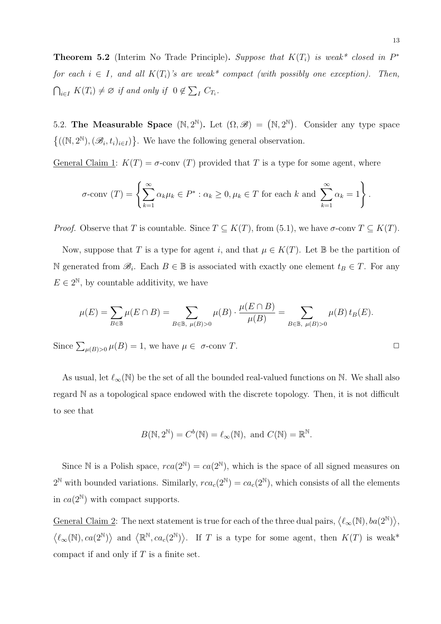**Theorem 5.2** (Interim No Trade Principle). Suppose that  $K(T_i)$  is weak\* closed in  $P^*$ for each  $i \in I$ , and all  $K(T_i)$ 's are weak\* compact (with possibly one exception). Then,  $\bigcap_{i\in I} K(T_i) \neq \emptyset$  if and only if  $0 \notin \sum_{I} C_{T_i}$ .

5.2. The Measurable Space  $(N, 2^N)$ . Let  $(\Omega, \mathscr{B}) = (N, 2^N)$ . Consider any type space  ${((\mathbb{N},2^{\mathbb{N}}),(\mathscr{B}_{i},t_{i})_{i\in I})}$ . We have the following general observation.

General Claim 1:  $K(T) = \sigma$ -conv (T) provided that T is a type for some agent, where

$$
\sigma\text{-conv }(T) = \left\{ \sum_{k=1}^{\infty} \alpha_k \mu_k \in P^* : \alpha_k \ge 0, \mu_k \in T \text{ for each } k \text{ and } \sum_{k=1}^{\infty} \alpha_k = 1 \right\}.
$$

*Proof.* Observe that T is countable. Since  $T \subseteq K(T)$ , from (5.1), we have  $\sigma$ -conv  $T \subseteq K(T)$ .

Now, suppose that T is a type for agent i, and that  $\mu \in K(T)$ . Let B be the partition of N generated from  $\mathscr{B}_i$ . Each  $B \in \mathbb{B}$  is associated with exactly one element  $t_B \in T$ . For any  $E \in 2^{\mathbb{N}}$ , by countable additivity, we have

$$
\mu(E) = \sum_{B \in \mathbb{B}} \mu(E \cap B) = \sum_{B \in \mathbb{B}, \ \mu(B) > 0} \mu(B) \cdot \frac{\mu(E \cap B)}{\mu(B)} = \sum_{B \in \mathbb{B}, \ \mu(B) > 0} \mu(B) \, t_B(E).
$$

Since  $\sum_{\mu(B)>0} \mu(B) = 1$ , we have  $\mu \in \sigma$ -conv T.

As usual, let  $\ell_{\infty}(\mathbb{N})$  be the set of all the bounded real-valued functions on N. We shall also regard N as a topological space endowed with the discrete topology. Then, it is not difficult to see that

$$
B(\mathbb{N}, 2^{\mathbb{N}}) = C^{b}(\mathbb{N}) = \ell_{\infty}(\mathbb{N}), \text{ and } C(\mathbb{N}) = \mathbb{R}^{\mathbb{N}}.
$$

Since N is a Polish space,  $rca(2^{\mathbb{N}}) = ca(2^{\mathbb{N}})$ , which is the space of all signed measures on  $2^{\mathbb{N}}$  with bounded variations. Similarly,  $rca_c(2^{\mathbb{N}}) = ca_c(2^{\mathbb{N}})$ , which consists of all the elements in  $ca(2^{\mathbb{N}})$  with compact supports.

General Claim 2: The next statement is true for each of the three dual pairs,  $\langle \ell_{\infty}(\mathbb{N}), ba(2^{\mathbb{N}}) \rangle$ ,  $\langle \ell_{\infty}(\mathbb{N}), ca(2^{\mathbb{N}}) \rangle$  and  $\langle \mathbb{R}^{\mathbb{N}}, ca_c(2^{\mathbb{N}}) \rangle$ . If T is a type for some agent, then  $K(T)$  is weak\* compact if and only if  $T$  is a finite set.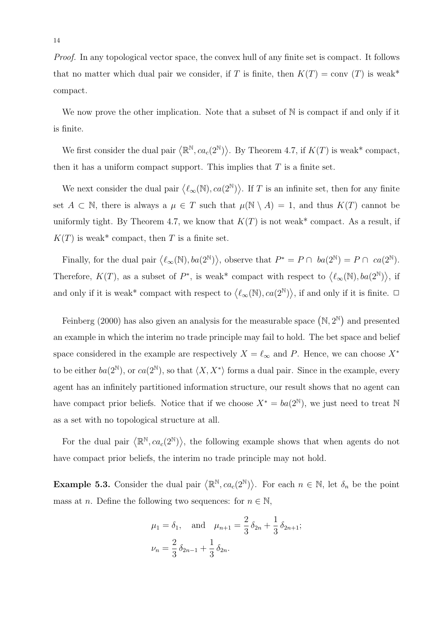Proof. In any topological vector space, the convex hull of any finite set is compact. It follows that no matter which dual pair we consider, if T is finite, then  $K(T) = \text{conv}(T)$  is weak\* compact.

We now prove the other implication. Note that a subset of  $\mathbb N$  is compact if and only if it is finite.

We first consider the dual pair  $\langle \mathbb{R}^{\mathbb{N}}, ca_c(2^{\mathbb{N}}) \rangle$ . By Theorem 4.7, if  $K(T)$  is weak\* compact, then it has a uniform compact support. This implies that  $T$  is a finite set.

We next consider the dual pair  $\langle \ell_{\infty}(\mathbb{N}), ca(2^{\mathbb{N}}) \rangle$ . If T is an infinite set, then for any finite set  $A \subset \mathbb{N}$ , there is always a  $\mu \in T$  such that  $\mu(\mathbb{N} \setminus A) = 1$ , and thus  $K(T)$  cannot be uniformly tight. By Theorem 4.7, we know that  $K(T)$  is not weak\* compact. As a result, if  $K(T)$  is weak\* compact, then T is a finite set.

Finally, for the dual pair  $\langle \ell_{\infty}(\mathbb{N}), ba(2^{\mathbb{N}}) \rangle$ , observe that  $P^* = P \cap ba(2^{\mathbb{N}}) = P \cap ca(2^{\mathbb{N}})$ . Therefore,  $K(T)$ , as a subset of  $P^*$ , is weak\* compact with respect to  $\langle \ell_{\infty}(\mathbb{N}), ba(2^{\mathbb{N}}) \rangle$ , if and only if it is weak\* compact with respect to  $\langle \ell_{\infty}(\mathbb{N}), ca(2^{\mathbb{N}}) \rangle$ , if and only if it is finite.  $\Box$ 

Feinberg (2000) has also given an analysis for the measurable space  $(N, 2^N)$  and presented an example in which the interim no trade principle may fail to hold. The bet space and belief space considered in the example are respectively  $X = \ell_{\infty}$  and P. Hence, we can choose  $X^*$ to be either  $ba(2^{\mathbb{N}})$ , or  $ca(2^{\mathbb{N}})$ , so that  $\langle X, X^* \rangle$  forms a dual pair. Since in the example, every agent has an infinitely partitioned information structure, our result shows that no agent can have compact prior beliefs. Notice that if we choose  $X^* = ba(2^{\mathbb{N}})$ , we just need to treat N as a set with no topological structure at all.

For the dual pair  $\langle \mathbb{R}^{\mathbb{N}}, ca_c(2^{\mathbb{N}}) \rangle$ , the following example shows that when agents do not have compact prior beliefs, the interim no trade principle may not hold.

**Example 5.3.** Consider the dual pair  $\langle \mathbb{R}^{\mathbb{N}}, ca_c(2^{\mathbb{N}}) \rangle$ . For each  $n \in \mathbb{N}$ , let  $\delta_n$  be the point mass at *n*. Define the following two sequences: for  $n \in \mathbb{N}$ ,

$$
\mu_1 = \delta_1
$$
, and  $\mu_{n+1} = \frac{2}{3} \delta_{2n} + \frac{1}{3} \delta_{2n+1}$ ;  
\n $\nu_n = \frac{2}{3} \delta_{2n-1} + \frac{1}{3} \delta_{2n}$ .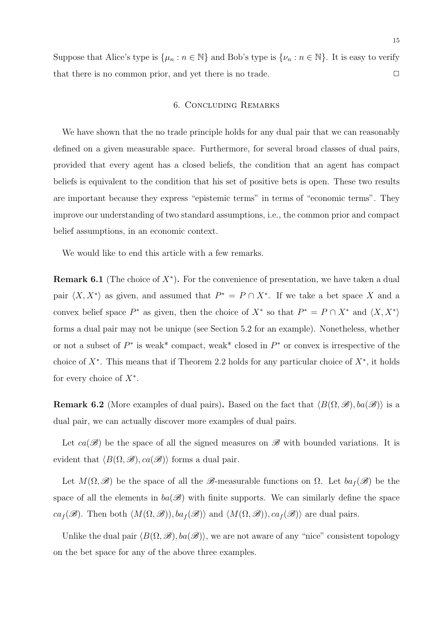Suppose that Alice's type is  $\{\mu_n : n \in \mathbb{N}\}\$  and Bob's type is  $\{\nu_n : n \in \mathbb{N}\}\$ . It is easy to verify that there is no common prior, and yet there is no trade.  $\Box$ 

# 6. Concluding Remarks

We have shown that the no trade principle holds for any dual pair that we can reasonably defined on a given measurable space. Furthermore, for several broad classes of dual pairs, provided that every agent has a closed beliefs, the condition that an agent has compact beliefs is equivalent to the condition that his set of positive bets is open. These two results are important because they express "epistemic terms" in terms of "economic terms". They improve our understanding of two standard assumptions, i.e., the common prior and compact belief assumptions, in an economic context.

We would like to end this article with a few remarks.

**Remark 6.1** (The choice of  $X^*$ ). For the convenience of presentation, we have taken a dual pair  $\langle X, X^* \rangle$  as given, and assumed that  $P^* = P \cap X^*$ . If we take a bet space X and a convex belief space  $P^*$  as given, then the choice of  $X^*$  so that  $P^* = P \cap X^*$  and  $\langle X, X^* \rangle$ forms a dual pair may not be unique (see Section 5.2 for an example). Nonetheless, whether or not a subset of  $P^*$  is weak\* compact, weak\* closed in  $P^*$  or convex is irrespective of the choice of  $X^*$ . This means that if Theorem 2.2 holds for any particular choice of  $X^*$ , it holds for every choice of  $X^*$ .

**Remark 6.2** (More examples of dual pairs). Based on the fact that  $\langle B(\Omega, \mathscr{B}), ba(\mathscr{B})\rangle$  is a dual pair, we can actually discover more examples of dual pairs.

Let  $ca(\mathscr{B})$  be the space of all the signed measures on  $\mathscr{B}$  with bounded variations. It is evident that  $\langle B(\Omega, \mathscr{B}), ca(\mathscr{B}) \rangle$  forms a dual pair.

Let  $M(\Omega,\mathscr{B})$  be the space of all the  $\mathscr{B}$ -measurable functions on  $\Omega$ . Let  $ba_f(\mathscr{B})$  be the space of all the elements in  $ba(\mathscr{B})$  with finite supports. We can similarly define the space  $ca_f(\mathscr{B})$ . Then both  $\langle M(\Omega,\mathscr{B})\rangle$ ,  $ba_f(\mathscr{B})$  and  $\langle M(\Omega,\mathscr{B})\rangle$ ,  $ca_f(\mathscr{B})$  are dual pairs.

Unlike the dual pair  $\langle B(\Omega, \mathscr{B}), ba(\mathscr{B})\rangle$ , we are not aware of any "nice" consistent topology on the bet space for any of the above three examples.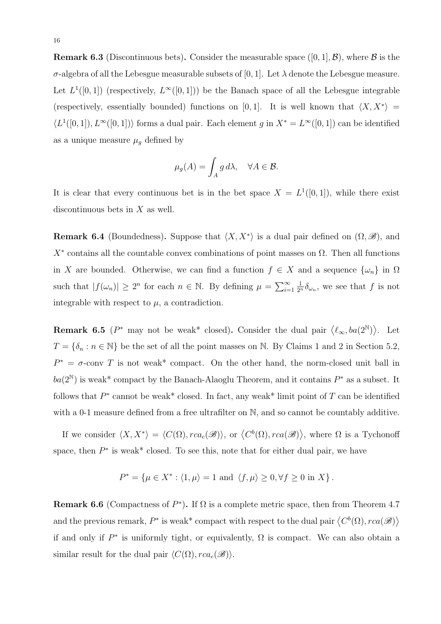**Remark 6.3** (Discontinuous bets). Consider the measurable space  $([0, 1], \mathcal{B})$ , where  $\mathcal{B}$  is the σ-algebra of all the Lebesgue measurable subsets of [0, 1]. Let  $\lambda$  denote the Lebesgue measure. Let  $L^1([0,1])$  (respectively,  $L^{\infty}([0,1])$ ) be the Banach space of all the Lebesgue integrable (respectively, essentially bounded) functions on [0,1]. It is well known that  $\langle X, X^* \rangle =$  $\langle L^1([0,1]), L^{\infty}([0,1]) \rangle$  forms a dual pair. Each element g in  $X^* = L^{\infty}([0,1])$  can be identified as a unique measure  $\mu_g$  defined by

$$
\mu_g(A) = \int_A g \, d\lambda, \quad \forall A \in \mathcal{B}.
$$

It is clear that every continuous bet is in the bet space  $X = L^1([0,1])$ , while there exist discontinuous bets in  $X$  as well.

**Remark 6.4** (Boundedness). Suppose that  $\langle X, X^* \rangle$  is a dual pair defined on  $(\Omega, \mathscr{B})$ , and  $X^*$  contains all the countable convex combinations of point masses on  $\Omega$ . Then all functions in X are bounded. Otherwise, we can find a function  $f \in X$  and a sequence  $\{\omega_n\}$  in  $\Omega$ such that  $|f(\omega_n)| \geq 2^n$  for each  $n \in \mathbb{N}$ . By defining  $\mu = \sum_{i=1}^{\infty}$  $\frac{1}{2^n} \delta_{\omega_n}$ , we see that f is not integrable with respect to  $\mu$ , a contradiction.

**Remark 6.5** ( $P^*$  may not be weak<sup>\*</sup> closed). Consider the dual pair  $\langle \ell_{\infty}, ba(2^{\mathbb{N}}) \rangle$ . Let  $T = \{\delta_n : n \in \mathbb{N}\}\$ be the set of all the point masses on N. By Claims 1 and 2 in Section 5.2,  $P^* = \sigma$ -conv T is not weak\* compact. On the other hand, the norm-closed unit ball in  $ba(2^{\mathbb{N}})$  is weak<sup>\*</sup> compact by the Banach-Alaoglu Theorem, and it contains  $P^*$  as a subset. It follows that  $P^*$  cannot be weak<sup>\*</sup> closed. In fact, any weak<sup>\*</sup> limit point of T can be identified with a 0-1 measure defined from a free ultrafilter on  $\mathbb{N}$ , and so cannot be countably additive.

If we consider  $\langle X, X^* \rangle = \langle C(\Omega), rca_c(\mathscr{B}) \rangle$ , or  $\langle C^b(\Omega), rca(\mathscr{B}) \rangle$ , where  $\Omega$  is a Tychonoff space, then  $P^*$  is weak\* closed. To see this, note that for either dual pair, we have

$$
P^* = \{ \mu \in X^* : \langle 1, \mu \rangle = 1 \text{ and } \langle f, \mu \rangle \ge 0, \forall f \ge 0 \text{ in } X \}.
$$

**Remark 6.6** (Compactness of  $P^*$ ). If  $\Omega$  is a complete metric space, then from Theorem 4.7 and the previous remark,  $P^*$  is weak\* compact with respect to the dual pair  $\langle C^b(\Omega), rca(\mathscr{B}) \rangle$ if and only if  $P^*$  is uniformly tight, or equivalently,  $\Omega$  is compact. We can also obtain a similar result for the dual pair  $\langle C(\Omega), rca_c(\mathscr{B})\rangle$ .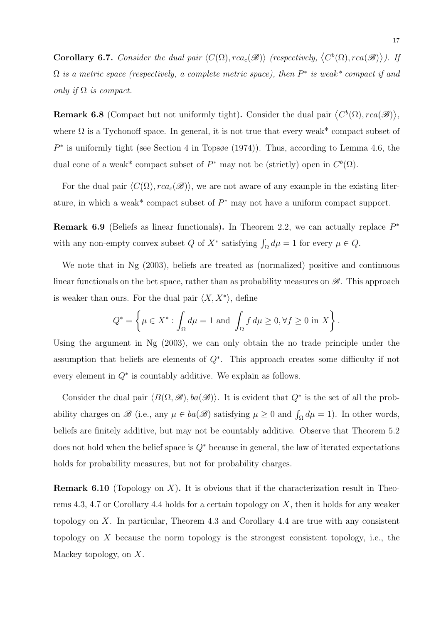**Corollary 6.7.** Consider the dual pair  $\langle C(\Omega), rca_c(\mathscr{B})\rangle$  (respectively,  $\langle C^b(\Omega), rca(\mathscr{B})\rangle$ ). If  $\Omega$  is a metric space (respectively, a complete metric space), then  $P^*$  is weak\* compact if and only if  $\Omega$  is compact.

**Remark 6.8** (Compact but not uniformly tight). Consider the dual pair  $\langle C^b(\Omega), rca(\mathscr{B}) \rangle$ , where  $\Omega$  is a Tychonoff space. In general, it is not true that every weak\* compact subset of  $P^*$  is uniformly tight (see Section 4 in Topsøe (1974)). Thus, according to Lemma 4.6, the dual cone of a weak\* compact subset of  $P^*$  may not be (strictly) open in  $C^b(\Omega)$ .

For the dual pair  $\langle C(\Omega), rca_c(\mathscr{B})\rangle$ , we are not aware of any example in the existing literature, in which a weak\* compact subset of  $P^*$  may not have a uniform compact support.

**Remark 6.9** (Beliefs as linear functionals). In Theorem 2.2, we can actually replace  $P^*$ with any non-empty convex subset  $Q$  of  $X^*$  satisfying  $\int_{\Omega} d\mu = 1$  for every  $\mu \in Q$ .

We note that in Ng (2003), beliefs are treated as (normalized) positive and continuous linear functionals on the bet space, rather than as probability measures on  $\mathscr{B}$ . This approach is weaker than ours. For the dual pair  $\langle X, X^* \rangle$ , define

$$
Q^* = \left\{ \mu \in X^* : \int_{\Omega} d\mu = 1 \text{ and } \int_{\Omega} f d\mu \ge 0, \forall f \ge 0 \text{ in } X \right\}.
$$

Using the argument in Ng (2003), we can only obtain the no trade principle under the assumption that beliefs are elements of  $Q^*$ . This approach creates some difficulty if not every element in  $Q^*$  is countably additive. We explain as follows.

Consider the dual pair  $\langle B(\Omega, \mathscr{B}), ba(\mathscr{B})\rangle$ . It is evident that  $Q^*$  is the set of all the probability charges on  $\mathscr{B}$  (i.e., any  $\mu \in ba(\mathscr{B})$  satisfying  $\mu \geq 0$  and  $\int_{\Omega} d\mu = 1$ ). In other words, beliefs are finitely additive, but may not be countably additive. Observe that Theorem 5.2 does not hold when the belief space is  $Q^*$  because in general, the law of iterated expectations holds for probability measures, but not for probability charges.

**Remark 6.10** (Topology on X). It is obvious that if the characterization result in Theorems 4.3, 4.7 or Corollary 4.4 holds for a certain topology on  $X$ , then it holds for any weaker topology on X. In particular, Theorem 4.3 and Corollary 4.4 are true with any consistent topology on X because the norm topology is the strongest consistent topology, i.e., the Mackey topology, on X.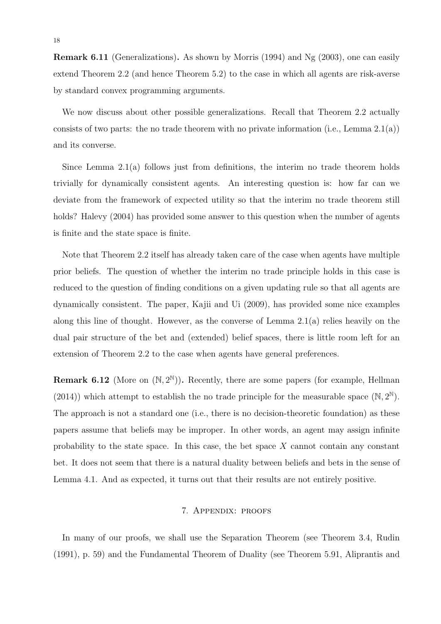Remark 6.11 (Generalizations). As shown by Morris (1994) and Ng (2003), one can easily extend Theorem 2.2 (and hence Theorem 5.2) to the case in which all agents are risk-averse by standard convex programming arguments.

We now discuss about other possible generalizations. Recall that Theorem 2.2 actually consists of two parts: the no trade theorem with no private information (i.e., Lemma  $2.1(a)$ ) and its converse.

Since Lemma  $2.1(a)$  follows just from definitions, the interim no trade theorem holds trivially for dynamically consistent agents. An interesting question is: how far can we deviate from the framework of expected utility so that the interim no trade theorem still holds? Halevy (2004) has provided some answer to this question when the number of agents is finite and the state space is finite.

Note that Theorem 2.2 itself has already taken care of the case when agents have multiple prior beliefs. The question of whether the interim no trade principle holds in this case is reduced to the question of finding conditions on a given updating rule so that all agents are dynamically consistent. The paper, Kajii and Ui (2009), has provided some nice examples along this line of thought. However, as the converse of Lemma  $2.1(a)$  relies heavily on the dual pair structure of the bet and (extended) belief spaces, there is little room left for an extension of Theorem 2.2 to the case when agents have general preferences.

**Remark 6.12** (More on  $(\mathbb{N}, 2^{\mathbb{N}})$ ). Recently, there are some papers (for example, Hellman (2014)) which attempt to establish the no trade principle for the measurable space  $(\mathbb{N}, 2^{\mathbb{N}})$ . The approach is not a standard one (i.e., there is no decision-theoretic foundation) as these papers assume that beliefs may be improper. In other words, an agent may assign infinite probability to the state space. In this case, the bet space  $X$  cannot contain any constant bet. It does not seem that there is a natural duality between beliefs and bets in the sense of Lemma 4.1. And as expected, it turns out that their results are not entirely positive.

# 7. Appendix: proofs

In many of our proofs, we shall use the Separation Theorem (see Theorem 3.4, Rudin (1991), p. 59) and the Fundamental Theorem of Duality (see Theorem 5.91, Aliprantis and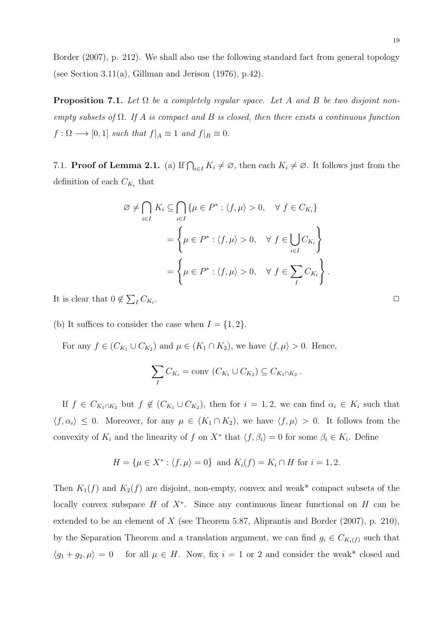Border (2007), p. 212). We shall also use the following standard fact from general topology (see Section 3.11(a), Gillman and Jerison  $(1976)$ , p.42).

**Proposition 7.1.** Let  $\Omega$  be a completely regular space. Let A and B be two disjoint nonempty subsets of  $\Omega$ . If A is compact and B is closed, then there exists a continuous function  $f: \Omega \longrightarrow [0,1]$  such that  $f|_A \equiv 1$  and  $f|_B \equiv 0$ .

7.1. **Proof of Lemma 2.1.** (a) If  $\bigcap_{i\in I} K_i \neq \emptyset$ , then each  $K_i \neq \emptyset$ . It follows just from the definition of each  $C_{K_i}$  that

$$
\emptyset \neq \bigcap_{i \in I} K_i \subseteq \bigcap_{i \in I} \{ \mu \in P^* : \langle f, \mu \rangle > 0, \quad \forall f \in C_{K_i} \}
$$

$$
= \left\{ \mu \in P^* : \langle f, \mu \rangle > 0, \quad \forall f \in \bigcup_{i \in I} C_{K_i} \right\}
$$

$$
= \left\{ \mu \in P^* : \langle f, \mu \rangle > 0, \quad \forall f \in \sum_{I} C_{K_i} \right\}.
$$

It is clear that  $0 \notin \sum_{I} C_{K_i}$ 

(b) It suffices to consider the case when  $I = \{1, 2\}.$ 

For any  $f \in (C_{K_1} \cup C_{K_2})$  and  $\mu \in (K_1 \cap K_2)$ , we have  $\langle f, \mu \rangle > 0$ . Hence,

$$
\sum_{I} C_{K_i} = \text{conv } (C_{K_1} \cup C_{K_2}) \subseteq C_{K_1 \cap K_2}.
$$

If  $f \in C_{K_1 \cap K_2}$  but  $f \notin (C_{K_1} \cup C_{K_2})$ , then for  $i = 1, 2$ , we can find  $\alpha_i \in K_i$  such that  $\langle f, \alpha_i \rangle \leq 0$ . Moreover, for any  $\mu \in (K_1 \cap K_2)$ , we have  $\langle f, \mu \rangle > 0$ . It follows from the convexity of  $K_i$  and the linearity of f on  $X^*$  that  $\langle f, \beta_i \rangle = 0$  for some  $\beta_i \in K_i$ . Define

$$
H = \{ \mu \in X^* : \langle f, \mu \rangle = 0 \}
$$
 and  $K_i(f) = K_i \cap H$  for  $i = 1, 2$ .

Then  $K_1(f)$  and  $K_2(f)$  are disjoint, non-empty, convex and weak\* compact subsets of the locally convex subspace  $H$  of  $X^*$ . Since any continuous linear functional on  $H$  can be extended to be an element of  $X$  (see Theorem 5.87, Aliprantis and Border (2007), p. 210), by the Separation Theorem and a translation argument, we can find  $g_i \in C_{K_i(f)}$  such that  $\langle g_1 + g_2, \mu \rangle = 0$  for all  $\mu \in H$ . Now, fix  $i = 1$  or 2 and consider the weak\* closed and

. The contract of the contract of the contract of the contract of  $\Box$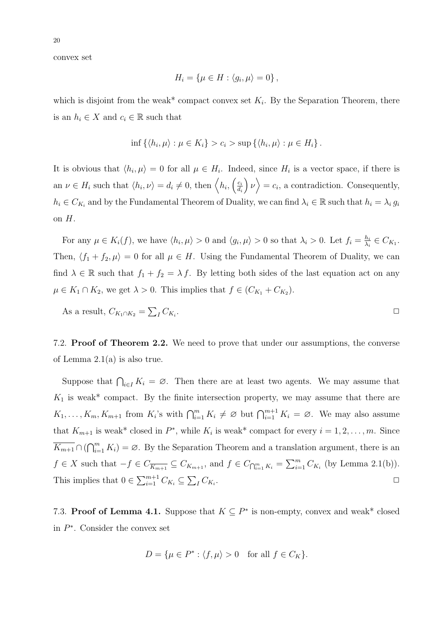convex set

$$
H_i = \{ \mu \in H : \langle g_i, \mu \rangle = 0 \},
$$

which is disjoint from the weak\* compact convex set  $K_i$ . By the Separation Theorem, there is an  $h_i \in X$  and  $c_i \in \mathbb{R}$  such that

$$
\inf \left\{ \langle h_i, \mu \rangle : \mu \in K_i \right\} > c_i > \sup \left\{ \langle h_i, \mu \rangle : \mu \in H_i \right\}.
$$

It is obvious that  $\langle h_i, \mu \rangle = 0$  for all  $\mu \in H_i$ . Indeed, since  $H_i$  is a vector space, if there is an  $\nu \in H_i$  such that  $\langle h_i, \nu \rangle = d_i \neq 0$ , then  $\langle h_i, \begin{pmatrix} c_i \\ d_i \end{pmatrix} \rangle$  $d_i$  $\langle v \rangle = c_i$ , a contradiction. Consequently,  $h_i \in C_{K_i}$  and by the Fundamental Theorem of Duality, we can find  $\lambda_i \in \mathbb{R}$  such that  $h_i = \lambda_i g_i$ on  $H$ .

For any  $\mu \in K_i(f)$ , we have  $\langle h_i, \mu \rangle > 0$  and  $\langle g_i, \mu \rangle > 0$  so that  $\lambda_i > 0$ . Let  $f_i = \frac{h_i}{\lambda_i}$  $\frac{h_i}{\lambda_i} \in C_{K_1}.$ Then,  $\langle f_1 + f_2, \mu \rangle = 0$  for all  $\mu \in H$ . Using the Fundamental Theorem of Duality, we can find  $\lambda \in \mathbb{R}$  such that  $f_1 + f_2 = \lambda f$ . By letting both sides of the last equation act on any  $\mu \in K_1 \cap K_2$ , we get  $\lambda > 0$ . This implies that  $f \in (C_{K_1} + C_{K_2})$ .

As a result, 
$$
C_{K_1 \cap K_2} = \sum_l C_{K_i}
$$
.

7.2. **Proof of Theorem 2.2.** We need to prove that under our assumptions, the converse of Lemma 2.1(a) is also true.

Suppose that  $\bigcap_{i\in I} K_i = \emptyset$ . Then there are at least two agents. We may assume that  $K_1$  is weak\* compact. By the finite intersection property, we may assume that there are  $K_1, \ldots, K_m, K_{m+1}$  from  $K_i$ 's with  $\bigcap_{i=1}^m K_i \neq \emptyset$  but  $\bigcap_{i=1}^{m+1} K_i = \emptyset$ . We may also assume that  $K_{m+1}$  is weak\* closed in  $P^*$ , while  $K_i$  is weak\* compact for every  $i = 1, 2, ..., m$ . Since  $\overline{K_{m+1}} \cap (\bigcap_{i=1}^{m} K_i) = \emptyset$ . By the Separation Theorem and a translation argument, there is an  $f \in X$  such that  $-f \in C_{\overline{K_{m+1}}} \subseteq C_{K_{m+1}}$ , and  $f \in C_{\bigcap_{i=1}^{m} K_i} = \sum_{i=1}^{m} C_{K_i}$  (by Lemma 2.1(b)). This implies that  $0 \in \sum_{i=1}^{m+1} C_{K_i} \subseteq \sum_{I} C_{K_i}$ .  $\Box$ 

7.3. Proof of Lemma 4.1. Suppose that  $K \subseteq P^*$  is non-empty, convex and weak\* closed in  $P^*$ . Consider the convex set

$$
D = \{ \mu \in P^* : \langle f, \mu \rangle > 0 \quad \text{for all } f \in C_K \}.
$$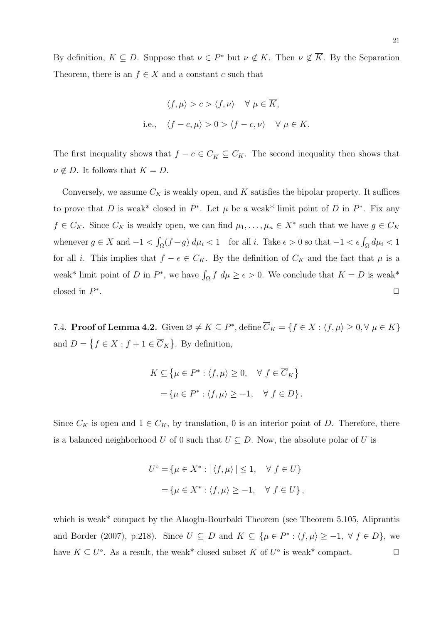By definition,  $K \subseteq D$ . Suppose that  $\nu \in P^*$  but  $\nu \notin K$ . Then  $\nu \notin \overline{K}$ . By the Separation Theorem, there is an  $f \in X$  and a constant c such that

$$
\langle f, \mu \rangle > c > \langle f, \nu \rangle \quad \forall \ \mu \in \overline{K},
$$
  
i.e.,  $\langle f - c, \mu \rangle > 0 > \langle f - c, \nu \rangle \quad \forall \ \mu \in \overline{K}.$ 

The first inequality shows that  $f - c \in C_{\overline{K}} \subseteq C_K$ . The second inequality then shows that  $\nu \notin D$ . It follows that  $K = D$ .

Conversely, we assume  $C_K$  is weakly open, and K satisfies the bipolar property. It suffices to prove that D is weak<sup>\*</sup> closed in  $P^*$ . Let  $\mu$  be a weak<sup>\*</sup> limit point of D in  $P^*$ . Fix any  $f \in C_K$ . Since  $C_K$  is weakly open, we can find  $\mu_1, \ldots, \mu_n \in X^*$  such that we have  $g \in C_K$ whenever  $g \in X$  and  $-1 < \int_{\Omega} (f - g) d\mu_i < 1$  for all i. Take  $\epsilon > 0$  so that  $-1 < \epsilon \int_{\Omega} d\mu_i < 1$ for all *i*. This implies that  $f - \epsilon \in C_K$ . By the definition of  $C_K$  and the fact that  $\mu$  is a weak<sup>\*</sup> limit point of D in  $P^*$ , we have  $\int_{\Omega} f \, d\mu \geq \epsilon > 0$ . We conclude that  $K = D$  is weak<sup>\*</sup> closed in  $P^*$ . The contract of the contract of the contract of the contract of the contract of the contract of the contract of the contract of the contract of the contract of the contract of the contract of the contract of the contrac

7.4. **Proof of Lemma 4.2.** Given  $\emptyset \neq K \subseteq P^*$ , define  $\overline{C}_K = \{f \in X : \langle f, \mu \rangle \geq 0, \forall \mu \in K\}$ and  $D = \{f \in X : f + 1 \in \overline{C}_K\}$ . By definition,

$$
K \subseteq \{\mu \in P^* : \langle f, \mu \rangle \ge 0, \quad \forall f \in \overline{C}_K\}
$$
  
=  $\{\mu \in P^* : \langle f, \mu \rangle \ge -1, \quad \forall f \in D\}.$ 

Since  $C_K$  is open and  $1 \in C_K$ , by translation, 0 is an interior point of D. Therefore, there is a balanced neighborhood U of 0 such that  $U \subseteq D$ . Now, the absolute polar of U is

$$
U^{\circ} = \{ \mu \in X^* : |\langle f, \mu \rangle| \le 1, \quad \forall f \in U \}
$$
  
=  $\{ \mu \in X^* : \langle f, \mu \rangle \ge -1, \quad \forall f \in U \},$ 

which is weak<sup>\*</sup> compact by the Alaoglu-Bourbaki Theorem (see Theorem 5.105, Aliprantis and Border (2007), p.218). Since  $U \subseteq D$  and  $K \subseteq {\mu \in P^* : \langle f, \mu \rangle \ge -1, \forall f \in D}$ , we have  $K \subseteq U^{\circ}$ . As a result, the weak\* closed subset  $\overline{K}$  of  $U^{\circ}$  is weak\* compact.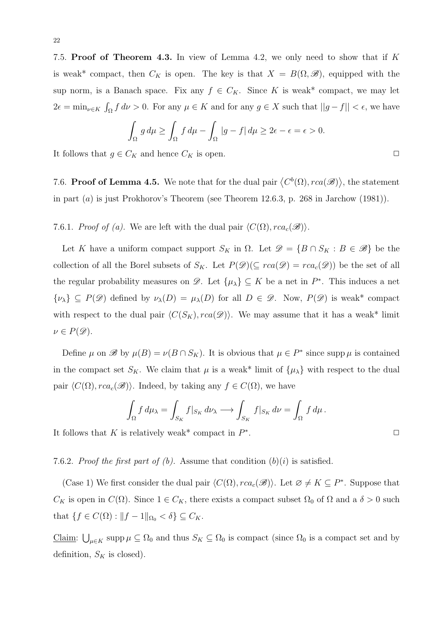7.5. Proof of Theorem 4.3. In view of Lemma 4.2, we only need to show that if K is weak\* compact, then  $C_K$  is open. The key is that  $X = B(\Omega, \mathscr{B})$ , equipped with the sup norm, is a Banach space. Fix any  $f \in C_K$ . Since K is weak\* compact, we may let  $2\epsilon = \min_{\nu \in K} \int_{\Omega} f \, d\nu > 0$ . For any  $\mu \in K$  and for any  $g \in X$  such that  $||g - f|| < \epsilon$ , we have

$$
\int_{\Omega} g d\mu \ge \int_{\Omega} f d\mu - \int_{\Omega} |g - f| d\mu \ge 2\epsilon - \epsilon = \epsilon > 0.
$$

It follows that  $g \in C_K$  and hence  $C_K$  is open.  $\Box$ 

7.6. Proof of Lemma 4.5. We note that for the dual pair  $\langle C^b(\Omega), rca(\mathscr{B}) \rangle$ , the statement in part (a) is just Prokhorov's Theorem (see Theorem 12.6.3, p. 268 in Jarchow (1981)).

7.6.1. Proof of (a). We are left with the dual pair  $\langle C(\Omega), rca_c(\mathscr{B})\rangle$ .

Let K have a uniform compact support  $S_K$  in  $\Omega$ . Let  $\mathscr{D} = \{B \cap S_K : B \in \mathscr{B}\}\$  be the collection of all the Borel subsets of  $S_K$ . Let  $P(\mathscr{D})(\subseteq rca(\mathscr{D}) = rca_c(\mathscr{D}))$  be the set of all the regular probability measures on  $\mathscr{D}$ . Let  $\{\mu_{\lambda}\}\subseteq K$  be a net in  $P^*$ . This induces a net  ${\{\nu_\lambda\}} \subseteq P(\mathscr{D})$  defined by  $\nu_\lambda(D) = \mu_\lambda(D)$  for all  $D \in \mathscr{D}$ . Now,  $P(\mathscr{D})$  is weak\* compact with respect to the dual pair  $\langle C(S_K), rca(\mathscr{D})\rangle$ . We may assume that it has a weak\* limit  $\nu \in P(\mathscr{D}).$ 

Define  $\mu$  on  $\mathscr{B}$  by  $\mu(B) = \nu(B \cap S_K)$ . It is obvious that  $\mu \in P^*$  since supp  $\mu$  is contained in the compact set  $S_K$ . We claim that  $\mu$  is a weak\* limit of  $\{\mu_{\lambda}\}\$  with respect to the dual pair  $\langle C(\Omega), rca_c(\mathscr{B})\rangle$ . Indeed, by taking any  $f \in C(\Omega)$ , we have

$$
\int_{\Omega} f d\mu_{\lambda} = \int_{S_K} f|_{S_K} d\nu_{\lambda} \longrightarrow \int_{S_K} f|_{S_K} d\nu = \int_{\Omega} f d\mu.
$$

It follows that K is relatively weak<sup>\*</sup> compact in  $P^*$ 

7.6.2. Proof the first part of (b). Assume that condition  $(b)(i)$  is satisfied.

(Case 1) We first consider the dual pair  $\langle C(\Omega), rca_c(\mathscr{B})\rangle$ . Let  $\varnothing \neq K \subseteq P^*$ . Suppose that  $C_K$  is open in  $C(\Omega)$ . Since  $1 \in C_K$ , there exists a compact subset  $\Omega_0$  of  $\Omega$  and a  $\delta > 0$  such that  $\{f \in C(\Omega) : ||f - 1||_{\Omega_0} < \delta\} \subseteq C_K$ .

Claim:  $\bigcup_{\mu \in K}$  supp  $\mu \subseteq \Omega_0$  and thus  $S_K \subseteq \Omega_0$  is compact (since  $\Omega_0$  is a compact set and by definition,  $S_K$  is closed).

.  $\Box$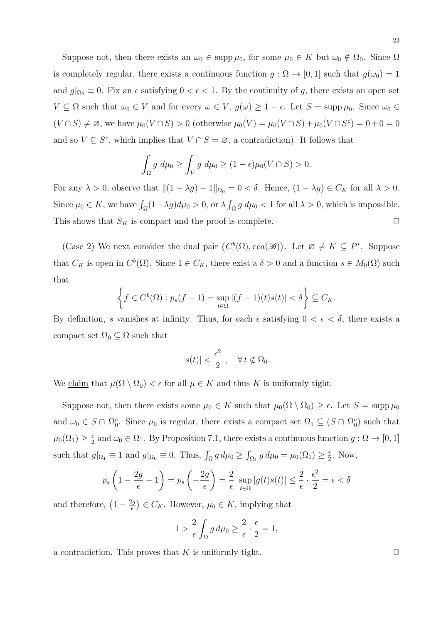Suppose not, then there exists an  $\omega_0 \in \text{supp }\mu_0$ , for some  $\mu_0 \in K$  but  $\omega_0 \notin \Omega_0$ . Since  $\Omega$ is completely regular, there exists a continuous function  $g : \Omega \to [0,1]$  such that  $g(\omega_0) = 1$ and  $g|_{\Omega_0} \equiv 0$ . Fix an  $\epsilon$  satisfying  $0 < \epsilon < 1$ . By the continuity of g, there exists an open set  $V \subseteq \Omega$  such that  $\omega_0 \in V$  and for every  $\omega \in V$ ,  $g(\omega) \geq 1 - \epsilon$ . Let  $S = \text{supp }\mu_0$ . Since  $\omega_0 \in$  $(V \cap S) \neq \emptyset$ , we have  $\mu_0(V \cap S) > 0$  (otherwise  $\mu_0(V) = \mu_0(V \cap S) + \mu_0(V \cap S^c) = 0 + 0 = 0$ and so  $V \subseteq S^c$ , which implies that  $V \cap S = \emptyset$ , a contradiction). It follows that

$$
\int_{\Omega} g \ d\mu_0 \ge \int_V g \ d\mu_0 \ge (1 - \epsilon) \mu_0 (V \cap S) > 0.
$$

For any  $\lambda > 0$ , observe that  $||(1 - \lambda g) - 1||_{\Omega_0} = 0 < \delta$ . Hence,  $(1 - \lambda g) \in C_K$  for all  $\lambda > 0$ . Since  $\mu_0 \in K$ , we have  $\int_{\Omega} (1 - \lambda g) d\mu_0 > 0$ , or  $\lambda \int_{\Omega} g d\mu_0 < 1$  for all  $\lambda > 0$ , which is impossible. This shows that  $S_K$  is compact and the proof is complete.  $\Box$ 

(Case 2) We next consider the dual pair  $\langle C^b(\Omega), rca(\mathscr{B})\rangle$ . Let  $\varnothing \neq K \subseteq P^*$ . Suppose that  $C_K$  is open in  $C^b(\Omega)$ . Since  $1 \in C_K$ , there exist a  $\delta > 0$  and a function  $s \in M_0(\Omega)$  such that

$$
\left\{ f \in C^b(\Omega) : p_s(f-1) = \sup_{t \in \Omega} |(f-1)(t)s(t)| < \delta \right\} \subseteq C_K.
$$

By definition, s vanishes at infinity. Thus, for each  $\epsilon$  satisfying  $0 < \epsilon < \delta$ , there exists a compact set  $\Omega_0 \subseteq \Omega$  such that

$$
|s(t)| < \frac{\epsilon^2}{2}, \quad \forall \, t \notin \Omega_0.
$$

We claim that  $\mu(\Omega \setminus \Omega_0) < \epsilon$  for all  $\mu \in K$  and thus K is uniformly tight.

Suppose not, then there exists some  $\mu_0 \in K$  such that  $\mu_0(\Omega \setminus \Omega_0) \geq \epsilon$ . Let  $S = \text{supp }\mu_0$ and  $\omega_0 \in S \cap \Omega_0^c$ . Since  $\mu_0$  is regular, there exists a compact set  $\Omega_1 \subseteq (S \cap \Omega_0^c)$  such that  $\mu_0(\Omega_1) \geq \frac{\epsilon}{2}$  $\frac{\epsilon}{2}$  and  $\omega_0 \in \Omega_1$ . By Proposition 7.1, there exists a continuous function  $g: \Omega \to [0, 1]$ such that  $g|_{\Omega_1} \equiv 1$  and  $g|_{\Omega_0} \equiv 0$ . Thus,  $\int_{\Omega} g d\mu_0 \ge \int_{\Omega_1} g d\mu_0 = \mu_0(\Omega_1) \ge \frac{\epsilon}{2}$  $\frac{\epsilon}{2}$ . Now,

$$
p_s\left(1-\frac{2g}{\epsilon}-1\right)=p_s\left(-\frac{2g}{\epsilon}\right)=\frac{2}{\epsilon}\sup_{t\in\Omega}|g(t)s(t)|\leq \frac{2}{\epsilon}\cdot\frac{\epsilon^2}{2}=\epsilon<\delta
$$

and therefore,  $\left(1-\frac{2g}{\epsilon}\right)$  $\left(\frac{\log n}{\epsilon}\right) \in C_K$ . However,  $\mu_0 \in K$ , implying that

$$
1 > \frac{2}{\epsilon} \int_{\Omega} g \, d\mu_0 \ge \frac{2}{\epsilon} \cdot \frac{\epsilon}{2} = 1,
$$

a contradiction. This proves that K is uniformly tight.  $\square$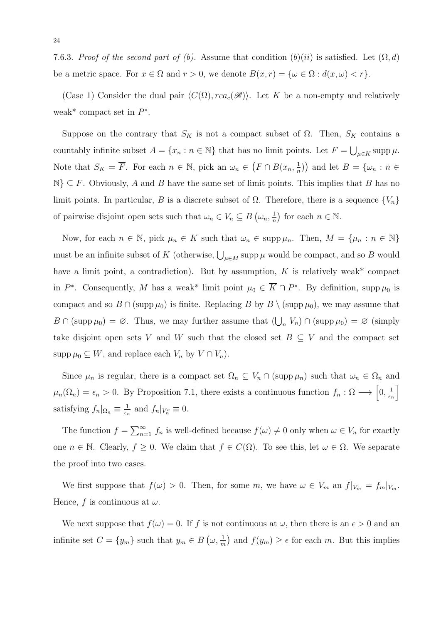7.6.3. Proof of the second part of (b). Assume that condition  $(b)(ii)$  is satisfied. Let  $(\Omega, d)$ be a metric space. For  $x \in \Omega$  and  $r > 0$ , we denote  $B(x, r) = \{ \omega \in \Omega : d(x, \omega) < r \}.$ 

(Case 1) Consider the dual pair  $\langle C(\Omega), rca_c(\mathscr{B})\rangle$ . Let K be a non-empty and relatively weak<sup>\*</sup> compact set in  $P^*$ .

Suppose on the contrary that  $S_K$  is not a compact subset of  $\Omega$ . Then,  $S_K$  contains a countably infinite subset  $A = \{x_n : n \in \mathbb{N}\}\$  that has no limit points. Let  $F = \bigcup_{\mu \in K} \operatorname{supp} \mu$ . Note that  $S_K = \overline{F}$ . For each  $n \in \mathbb{N}$ , pick an  $\omega_n \in (F \cap B(x_n, \frac{1}{n}))$  $(\frac{1}{n})$  and let  $B = \{\omega_n : n \in$  $\mathbb{N}\}\subset F$ . Obviously, A and B have the same set of limit points. This implies that B has no limit points. In particular, B is a discrete subset of  $\Omega$ . Therefore, there is a sequence  $\{V_n\}$ of pairwise disjoint open sets such that  $\omega_n \in V_n \subseteq B$   $(\omega_n, \frac{1}{n})$  $\frac{1}{n}$  for each  $n \in \mathbb{N}$ .

Now, for each  $n \in \mathbb{N}$ , pick  $\mu_n \in K$  such that  $\omega_n \in \text{supp}\,\mu_n$ . Then,  $M = {\mu_n : n \in \mathbb{N}}$ must be an infinite subset of K (otherwise,  $\bigcup_{\mu \in M}$  supp  $\mu$  would be compact, and so B would have a limit point, a contradiction). But by assumption,  $K$  is relatively weak\* compact in  $P^*$ . Consequently, M has a weak\* limit point  $\mu_0 \in \overline{K} \cap P^*$ . By definition, supp  $\mu_0$  is compact and so  $B \cap (\text{supp }\mu_0)$  is finite. Replacing B by  $B \setminus (\text{supp }\mu_0)$ , we may assume that  $B \cap (\text{supp }\mu_0) = \emptyset$ . Thus, we may further assume that  $(\bigcup_n V_n) \cap (\text{supp }\mu_0) = \emptyset$  (simply take disjoint open sets V and W such that the closed set  $B \subseteq V$  and the compact set supp  $\mu_0 \subseteq W$ , and replace each  $V_n$  by  $V \cap V_n$ ).

Since  $\mu_n$  is regular, there is a compact set  $\Omega_n \subseteq V_n \cap (\text{supp}\,\mu_n)$  such that  $\omega_n \in \Omega_n$  and  $\mu_n(\Omega_n) = \epsilon_n > 0$ . By Proposition 7.1, there exists a continuous function  $f_n : \Omega \longrightarrow [0, \frac{1}{\epsilon_n}]$  $\epsilon_n$ i satisfying  $f_n|_{\Omega_n} \equiv \frac{1}{\epsilon_n}$  $\frac{1}{\epsilon_n}$  and  $f_n|_{V_n^c} \equiv 0$ .

The function  $f = \sum_{n=1}^{\infty} f_n$  is well-defined because  $f(\omega) \neq 0$  only when  $\omega \in V_n$  for exactly one  $n \in \mathbb{N}$ . Clearly,  $f \geq 0$ . We claim that  $f \in C(\Omega)$ . To see this, let  $\omega \in \Omega$ . We separate the proof into two cases.

We first suppose that  $f(\omega) > 0$ . Then, for some m, we have  $\omega \in V_m$  an  $f|_{V_m} = f_m|_{V_m}$ . Hence, f is continuous at  $\omega$ .

We next suppose that  $f(\omega) = 0$ . If f is not continuous at  $\omega$ , then there is an  $\epsilon > 0$  and an infinite set  $C = \{y_m\}$  such that  $y_m \in B\left(\omega, \frac{1}{m}\right)$  and  $f(y_m) \geq \epsilon$  for each m. But this implies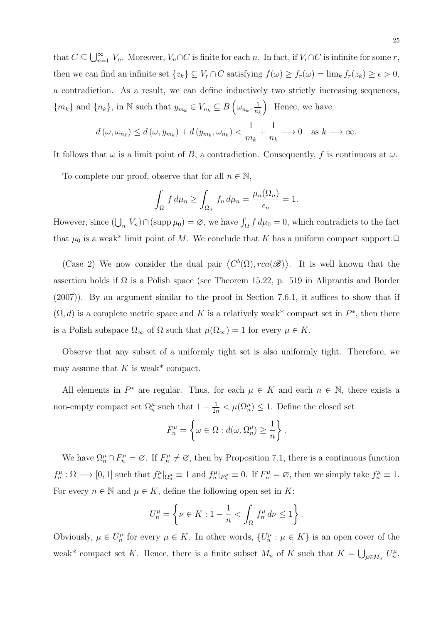that  $C \subseteq \bigcup_{n=1}^{\infty} V_n$ . Moreover,  $V_n \cap C$  is finite for each n. In fact, if  $V_r \cap C$  is infinite for some r, then we can find an infinite set  $\{z_k\} \subseteq V_r \cap C$  satisfying  $f(\omega) \ge f_r(\omega) = \lim_k f_r(z_k) \ge \epsilon > 0$ , a contradiction. As a result, we can define inductively two strictly increasing sequences,  $\{m_k\}$  and  $\{n_k\}$ , in N such that  $y_{m_k} \in V_{n_k} \subseteq B\left(\omega_{n_k}, \frac{1}{n_k}\right)$  $n_k$ . Hence, we have

$$
d(\omega, \omega_{n_k}) \le d(\omega, y_{m_k}) + d(y_{m_k}, \omega_{n_k}) < \frac{1}{m_k} + \frac{1}{n_k} \longrightarrow 0 \quad \text{as } k \longrightarrow \infty.
$$

It follows that  $\omega$  is a limit point of B, a contradiction. Consequently, f is continuous at  $\omega$ .

To complete our proof, observe that for all  $n \in \mathbb{N}$ ,

$$
\int_{\Omega} f d\mu_n \ge \int_{\Omega_n} f_n d\mu_n = \frac{\mu_n(\Omega_n)}{\epsilon_n} = 1.
$$

However, since  $(\bigcup_n V_n) \cap (\text{supp }\mu_0) = \varnothing$ , we have  $\int_{\Omega} f d\mu_0 = 0$ , which contradicts to the fact that  $\mu_0$  is a weak\* limit point of M. We conclude that K has a uniform compact support. $\Box$ 

(Case 2) We now consider the dual pair  $\langle C^b(\Omega), rca(\mathscr{B})\rangle$ . It is well known that the assertion holds if  $\Omega$  is a Polish space (see Theorem 15.22, p. 519 in Aliprantis and Border (2007)). By an argument similar to the proof in Section 7.6.1, it suffices to show that if  $(\Omega, d)$  is a complete metric space and K is a relatively weak<sup>\*</sup> compact set in  $P^*$ , then there is a Polish subspace  $\Omega_{\infty}$  of  $\Omega$  such that  $\mu(\Omega_{\infty}) = 1$  for every  $\mu \in K$ .

Observe that any subset of a uniformly tight set is also uniformly tight. Therefore, we may assume that  $K$  is weak\* compact.

All elements in  $P^*$  are regular. Thus, for each  $\mu \in K$  and each  $n \in \mathbb{N}$ , there exists a non-empty compact set  $\Omega_n^{\mu}$  such that  $1 - \frac{1}{2n} < \mu(\Omega_n^{\mu}) \leq 1$ . Define the closed set

$$
F_n^{\mu} = \left\{ \omega \in \Omega : d(\omega, \Omega_n^{\mu}) \ge \frac{1}{n} \right\}.
$$

We have  $\Omega_n^{\mu} \cap F_n^{\mu} = \emptyset$ . If  $F_n^{\mu} \neq \emptyset$ , then by Proposition 7.1, there is a continuous function  $f_n^{\mu}: \Omega \longrightarrow [0,1]$  such that  $f_n^{\mu}|_{\Omega_n^{\mu}} \equiv 1$  and  $f_n^{\mu}|_{F_n^{\mu}} \equiv 0$ . If  $F_n^{\mu} = \emptyset$ , then we simply take  $f_n^{\mu} \equiv 1$ . For every  $n \in \mathbb{N}$  and  $\mu \in K$ , define the following open set in K:

$$
U_n^{\mu} = \left\{ \nu \in K : 1 - \frac{1}{n} < \int_{\Omega} f_n^{\mu} \, d\nu \le 1 \right\}.
$$

Obviously,  $\mu \in U_n^{\mu}$  for every  $\mu \in K$ . In other words,  $\{U_n^{\mu} : \mu \in K\}$  is an open cover of the weak\* compact set K. Hence, there is a finite subset  $M_n$  of K such that  $K = \bigcup_{\mu \in M_n} U_n^{\mu}$ .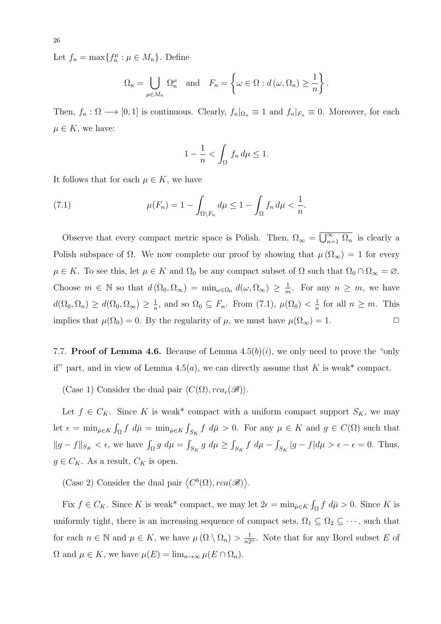Let  $f_n = \max\{f_n^{\mu} : \mu \in M_n\}$ . Define

$$
\Omega_n = \bigcup_{\mu \in M_n} \Omega_n^{\mu} \text{ and } F_n = \left\{ \omega \in \Omega : d(\omega, \Omega_n) \ge \frac{1}{n} \right\}.
$$

Then,  $f_n : \Omega \longrightarrow [0,1]$  is continuous. Clearly,  $f_n|_{\Omega_n} \equiv 1$  and  $f_n|_{F_n} \equiv 0$ . Moreover, for each  $\mu \in K$ , we have:

$$
1 - \frac{1}{n} < \int_{\Omega} f_n \, d\mu \le 1.
$$

It follows that for each  $\mu \in K$ , we have

(7.1) 
$$
\mu(F_n) = 1 - \int_{\Omega \setminus F_n} d\mu \le 1 - \int_{\Omega} f_n d\mu < \frac{1}{n}.
$$

Observe that every compact metric space is Polish. Then,  $\Omega_{\infty} = \overline{U_{n=1}^{\infty} \Omega_n}$  is clearly a Polish subspace of  $\Omega$ . We now complete our proof by showing that  $\mu(\Omega_{\infty}) = 1$  for every  $\mu \in K$ . To see this, let  $\mu \in K$  and  $\Omega_0$  be any compact subset of  $\Omega$  such that  $\Omega_0 \cap \Omega_\infty = \varnothing$ . Choose  $m \in \mathbb{N}$  so that  $d(\Omega_0, \Omega_\infty) = \min_{\omega \in \Omega_0} d(\omega, \Omega_\infty) \geq \frac{1}{n}$  $\frac{1}{m}$ . For any  $n \geq m$ , we have  $d(\Omega_0, \Omega_n) \geq d(\Omega_0, \Omega_\infty) \geq \frac{1}{n}$  $\frac{1}{n}$ , and so  $\Omega_0 \subseteq F_n$ . From (7.1),  $\mu(\Omega_0) < \frac{1}{n}$  $\frac{1}{n}$  for all  $n \geq m$ . This implies that  $\mu(\Omega_0) = 0$ . By the regularity of  $\mu$ , we must have  $\mu(\Omega_\infty) = 1$ .

7.7. **Proof of Lemma 4.6.** Because of Lemma  $4.5(b)(i)$ , we only need to prove the "only" if" part, and in view of Lemma 4.5(*a*), we can directly assume that K is weak\* compact.

(Case 1) Consider the dual pair  $\langle C(\Omega), rca_c(\mathscr{B})\rangle$ .

Let  $f \in C_K$ . Since K is weak\* compact with a uniform compact support  $S_K$ , we may let  $\epsilon = \min_{\bar{\mu} \in K} \int_{\Omega} f \ d\bar{\mu} = \min_{\bar{\mu} \in K} \int_{S_K} f \ d\bar{\mu} > 0$ . For any  $\mu \in K$  and  $g \in C(\Omega)$  such that  $||g - f||_{S_K} < \epsilon$ , we have  $\int_{\Omega} g d\mu = \int_{S_K} g d\mu \ge \int_{S_K} f d\mu - \int_{S_K} |g - f| d\mu > \epsilon - \epsilon = 0$ . Thus,  $g \in C_K$ . As a result,  $C_K$  is open.

(Case 2) Consider the dual pair  $\langle C^b(\Omega), rca(\mathscr{B}) \rangle$ .

Fix  $f \in C_K$ . Since K is weak\* compact, we may let  $2\epsilon = \min_{\bar{\mu} \in K} \int_{\Omega} f \, d\bar{\mu} > 0$ . Since K is uniformly tight, there is an increasing sequence of compact sets,  $\Omega_1 \subseteq \Omega_2 \subseteq \cdots$ , such that for each  $n \in \mathbb{N}$  and  $\mu \in K$ , we have  $\mu(\Omega \setminus \Omega_n) > \frac{1}{n2^n}$ . Note that for any Borel subset E of  $\Omega$  and  $\mu \in K$ , we have  $\mu(E) = \lim_{n \to \infty} \mu(E \cap \Omega_n)$ .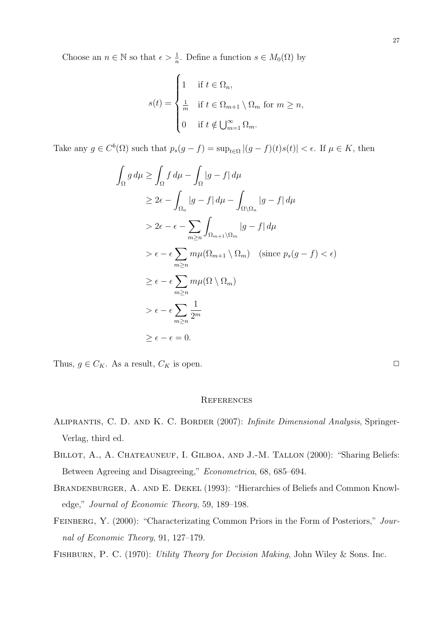Choose an  $n \in \mathbb{N}$  so that  $\epsilon > \frac{1}{n}$ . Define a function  $s \in M_0(\Omega)$  by

$$
s(t) = \begin{cases} 1 & \text{if } t \in \Omega_n, \\ \frac{1}{m} & \text{if } t \in \Omega_{m+1} \setminus \Omega_m \text{ for } m \ge n, \\ 0 & \text{if } t \notin \bigcup_{m=1}^{\infty} \Omega_m. \end{cases}
$$

Take any  $g \in C^b(\Omega)$  such that  $p_s(g - f) = \sup_{t \in \Omega} |(g - f)(t)s(t)| < \epsilon$ . If  $\mu \in K$ , then

$$
\int_{\Omega} g d\mu \ge \int_{\Omega} f d\mu - \int_{\Omega} |g - f| d\mu
$$
\n
$$
\ge 2\epsilon - \int_{\Omega_n} |g - f| d\mu - \int_{\Omega \setminus \Omega_n} |g - f| d\mu
$$
\n
$$
> 2\epsilon - \epsilon - \sum_{m \ge n} \int_{\Omega_{m+1} \setminus \Omega_m} |g - f| d\mu
$$
\n
$$
> \epsilon - \epsilon \sum_{m \ge n} m\mu(\Omega_{m+1} \setminus \Omega_m) \quad \text{(since } p_s(g - f) < \epsilon\text{)}
$$
\n
$$
\ge \epsilon - \epsilon \sum_{m \ge n} m\mu(\Omega \setminus \Omega_m)
$$
\n
$$
> \epsilon - \epsilon \sum_{m \ge n} \frac{1}{2^m}
$$
\n
$$
\ge \epsilon - \epsilon = 0.
$$

Thus,  $g \in C_K$ . As a result,  $C_K$  is open.  $\Box$ 

#### **REFERENCES**

- Aliprantis, C. D. and K. C. Border (2007): Infinite Dimensional Analysis, Springer-Verlag, third ed.
- BILLOT, A., A. CHATEAUNEUF, I. GILBOA, AND J.-M. TALLON (2000): "Sharing Beliefs: Between Agreeing and Disagreeing," Econometrica, 68, 685–694.
- BRANDENBURGER, A. AND E. DEKEL (1993): "Hierarchies of Beliefs and Common Knowledge," Journal of Economic Theory, 59, 189–198.
- FEINBERG, Y. (2000): "Characterizating Common Priors in the Form of Posteriors," Journal of Economic Theory, 91, 127–179.

Fishburn, P. C. (1970): Utility Theory for Decision Making, John Wiley & Sons. Inc.